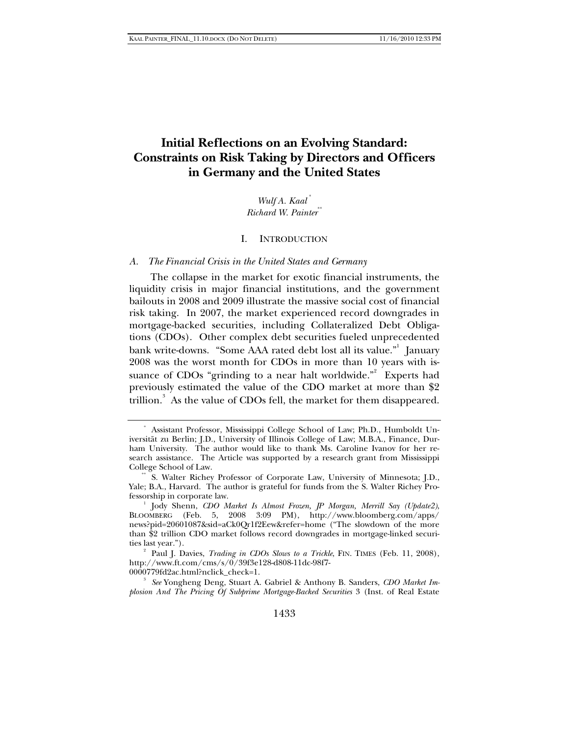# **Initial Reflections on an Evolving Standard: Constraints on Risk Taking by Directors and Officers in Germany and the United States**

*Wulf A. Kaal* \*  *Richard W. Painter*\*\*

### I. INTRODUCTION

#### *A. The Financial Crisis in the United States and Germany*

The collapse in the market for exotic financial instruments, the liquidity crisis in major financial institutions, and the government bailouts in 2008 and 2009 illustrate the massive social cost of financial risk taking. In 2007, the market experienced record downgrades in mortgage-backed securities, including Collateralized Debt Obligations (CDOs). Other complex debt securities fueled unprecedented bank write-downs. "Some AAA rated debt lost all its value."<sup>1</sup> January 2008 was the worst month for CDOs in more than 10 years with issuance of CDOs "grinding to a near halt worldwide."<sup>2</sup> Experts had previously estimated the value of the CDO market at more than \$2 trillion.<sup>3</sup> As the value of CDOs fell, the market for them disappeared.

0000779fd2ac.html?nclick\_check=1. 3

 *See* Yongheng Deng, Stuart A. Gabriel & Anthony B. Sanders, *CDO Market Implosion And The Pricing Of Subprime Mortgage-Backed Securities* 3 (Inst. of Real Estate

 <sup>\*</sup> Assistant Professor, Mississippi College School of Law; Ph.D., Humboldt Universität zu Berlin; J.D., University of Illinois College of Law; M.B.A., Finance, Durham University. The author would like to thank Ms. Caroline Ivanov for her research assistance. The Article was supported by a research grant from Mississippi College School of Law.

S. Walter Richey Professor of Corporate Law, University of Minnesota; J.D., Yale; B.A., Harvard. The author is grateful for funds from the S. Walter Richey Professorship in corporate law. 1

Jody Shenn, *CDO Market Is Almost Frozen, JP Morgan, Merrill Say (Update2)*, BLOOMBERG (Feb. 5, 2008 3:09 PM), http://www.bloomberg.com/apps/ news?pid=20601087&sid=aCk0Qr1f2Eew&refer=home ("The slowdown of the more than \$2 trillion CDO market follows record downgrades in mortgage-linked securities last year.").

<sup>&</sup>lt;sup>2</sup> Paul J. Davies, *Trading in CDOs Slows to a Trickle*, FIN. TIMES (Feb. 11, 2008), http://www.ft.com/cms/s/0/39f3e128-d808-11dc-98f7-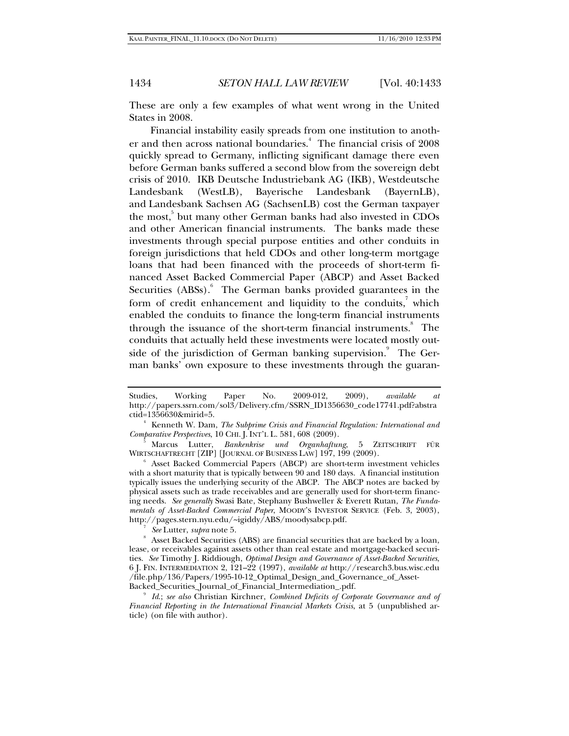These are only a few examples of what went wrong in the United States in 2008.

Financial instability easily spreads from one institution to another and then across national boundaries.<sup>4</sup> The financial crisis of 2008 quickly spread to Germany, inflicting significant damage there even before German banks suffered a second blow from the sovereign debt crisis of 2010. IKB Deutsche Industriebank AG (IKB), Westdeutsche Landesbank (WestLB), Bayerische Landesbank (BayernLB), and Landesbank Sachsen AG (SachsenLB) cost the German taxpayer the most,<sup>5</sup> but many other German banks had also invested in CDOs and other American financial instruments. The banks made these investments through special purpose entities and other conduits in foreign jurisdictions that held CDOs and other long-term mortgage loans that had been financed with the proceeds of short-term financed Asset Backed Commercial Paper (ABCP) and Asset Backed Securities (ABSs). The German banks provided guarantees in the form of credit enhancement and liquidity to the conduits, $\frac{1}{\lambda}$  which enabled the conduits to finance the long-term financial instruments through the issuance of the short-term financial instruments.<sup>8</sup> The conduits that actually held these investments were located mostly outside of the jurisdiction of German banking supervision.<sup>9</sup> The German banks' own exposure to these investments through the guaran-

*See* Lutter, *supra* note 5.

Studies, Working Paper No. 2009-012, 2009), *available at* http://papers.ssrn.com/sol3/Delivery.cfm/SSRN\_ID1356630\_code17741.pdf?abstra ctid=1356630&mirid=5. 4

<sup>&</sup>lt;sup>4</sup> Kenneth W. Dam, *The Subprime Crisis and Financial Regulation: International and Comparative Perspectives*, 10 CHI. J. INT'L L. 581, 608 (2009).

Marcus Lutter, *Bankenkrise und Organhaftung*, 5 ZEITSCHRIFT FÜR WIRTSCHAFTRECHT [ZIP] [JOURNAL OF BUSINESS LAW] 197, 199 (2009).

Asset Backed Commercial Papers (ABCP) are short-term investment vehicles with a short maturity that is typically between 90 and 180 days. A financial institution typically issues the underlying security of the ABCP. The ABCP notes are backed by physical assets such as trade receivables and are generally used for short-term financing needs. *See generally* Swasi Bate, Stephany Bushweller & Everett Rutan, *The Fundamentals of Asset-Backed Commercial Paper*, MOODY'S INVESTOR SERVICE (Feb. 3, 2003), http://pages.stern.nyu.edu/~igiddy/ABS/moodysabcp.pdf. 7

Asset Backed Securities (ABS) are financial securities that are backed by a loan, lease, or receivables against assets other than real estate and mortgage-backed securities. *See* Timothy J. Riddiough, *Optimal Design and Governance of Asset-Backed Securities*, 6 J. FIN. INTERMEDIATION 2, 121–22 (1997), *available at* http://research3.bus.wisc.edu /file.php/136/Papers/1995-10-12\_Optimal\_Design\_and\_Governance\_of\_Asset-Backed\_Securities\_Journal\_of\_Financial\_Intermediation\_.pdf. 9

*Id*.; *see also* Christian Kirchner, *Combined Deficits of Corporate Governance and of Financial Reporting in the International Financial Markets Crisis*, at 5 (unpublished article) (on file with author).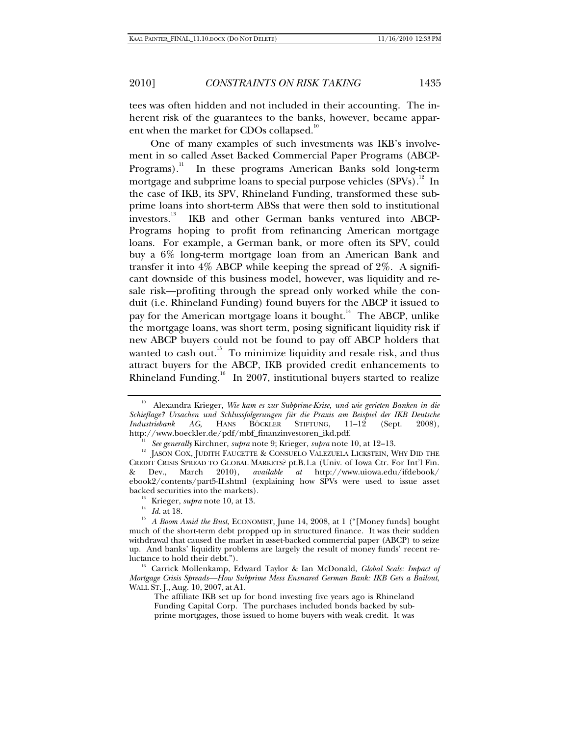tees was often hidden and not included in their accounting. The inherent risk of the guarantees to the banks, however, became apparent when the market for CDOs collapsed.<sup>10</sup>

One of many examples of such investments was IKB's involvement in so called Asset Backed Commercial Paper Programs (ABCP-Programs).<sup>11</sup> In these programs American Banks sold long-term mortgage and subprime loans to special purpose vehicles  $(SPVs)$ <sup>2</sup>. In the case of IKB, its SPV, Rhineland Funding, transformed these subprime loans into short-term ABSs that were then sold to institutional investors.<sup>13</sup> IKB and other German banks ventured into ABCP-Programs hoping to profit from refinancing American mortgage loans. For example, a German bank, or more often its SPV, could buy a 6% long-term mortgage loan from an American Bank and transfer it into  $4\%$  ABCP while keeping the spread of  $2\%$ . A significant downside of this business model, however, was liquidity and resale risk—profiting through the spread only worked while the conduit (i.e. Rhineland Funding) found buyers for the ABCP it issued to pay for the American mortgage loans it bought.<sup>14</sup> The ABCP, unlike the mortgage loans, was short term, posing significant liquidity risk if new ABCP buyers could not be found to pay off ABCP holders that wanted to cash out.<sup>15</sup> To minimize liquidity and resale risk, and thus attract buyers for the ABCP, IKB provided credit enhancements to Rhineland Funding.<sup>16</sup> In 2007, institutional buyers started to realize

<sup>10</sup> Alexandra Krieger, *Wie kam es zur Subprime-Krise, und wie gerieten Banken in die Schieflage? Ursachen und Schlussfolgerungen für die Praxis am Beispiel der IKB Deutsche Industriebank AG*, HANS BÖCKLER STIFTUNG, 11–12 (Sept. 2008), http://www.boeckler.de/pdf/mbf\_finanzinvestoren\_ikd.pdf.

<sup>&</sup>lt;sup>11</sup> *See generally* Kirchner, *supra* note 9; Krieger, *supra* note 10, at 12–13.<br><sup>12</sup> JASON COX, JUDITH FAUCETTE & CONSUELO VALEZUELA LICKSTEIN, WHY DID THE CREDIT CRISIS SPREAD TO GLOBAL MARKETS? pt.B.1.a (Univ. of Iowa Ctr. For Int'l Fin. & Dev., March 2010), *available at* http://www.uiowa.edu/ifdebook/ ebook2/contents/part5-II.shtml (explaining how SPVs were used to issue asset

<sup>&</sup>lt;sup>13</sup> Krieger, *supra* note 10, at 13.<br><sup>14</sup> Id. at 18.

<sup>&</sup>lt;sup>15</sup> *A Boom Amid the Bust*, ECONOMIST, June 14, 2008, at 1 ("[Money funds] bought much of the short-term debt propped up in structured finance. It was their sudden withdrawal that caused the market in asset-backed commercial paper (ABCP) to seize up. And banks' liquidity problems are largely the result of money funds' recent reluctance to hold their debt."). 16 Carrick Mollenkamp, Edward Taylor & Ian McDonald, *Global Scale: Impact of* 

*Mortgage Crisis Spreads—How Subprime Mess Ensnared German Bank: IKB Gets a Bailout*, WALL ST. J., Aug. 10, 2007, at A1.

The affiliate IKB set up for bond investing five years ago is Rhineland Funding Capital Corp. The purchases included bonds backed by subprime mortgages, those issued to home buyers with weak credit. It was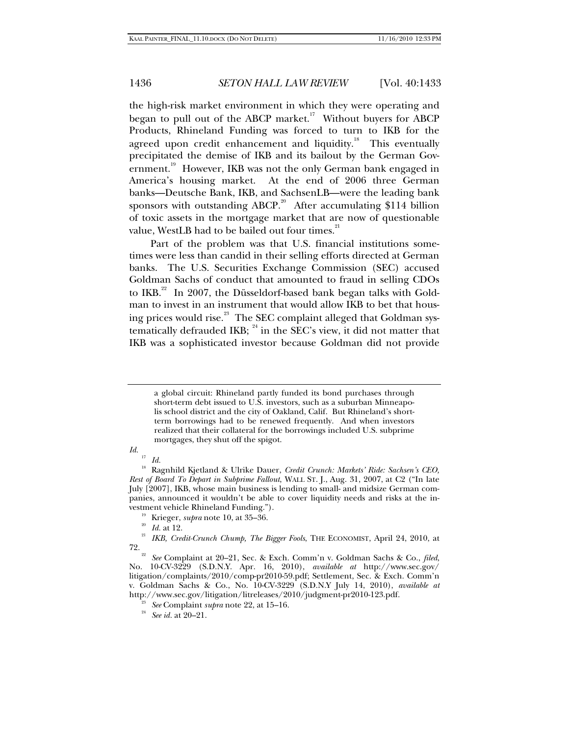the high-risk market environment in which they were operating and began to pull out of the ABCP market.<sup>17</sup> Without buyers for ABCP Products, Rhineland Funding was forced to turn to IKB for the agreed upon credit enhancement and liquidity.<sup>18</sup> This eventually precipitated the demise of IKB and its bailout by the German Government.<sup>19</sup> However, IKB was not the only German bank engaged in America's housing market. At the end of 2006 three German banks—Deutsche Bank, IKB, and SachsenLB—were the leading bank sponsors with outstanding ABCP.<sup>20</sup> After accumulating \$114 billion of toxic assets in the mortgage market that are now of questionable value, WestLB had to be bailed out four times. $21$ 

Part of the problem was that U.S. financial institutions sometimes were less than candid in their selling efforts directed at German banks. The U.S. Securities Exchange Commission (SEC) accused Goldman Sachs of conduct that amounted to fraud in selling CDOs to IKB.<sup>22</sup> In 2007, the Düsseldorf-based bank began talks with Goldman to invest in an instrument that would allow IKB to bet that housing prices would rise.<sup>23</sup> The SEC complaint alleged that Goldman systematically defrauded IKB;  $^{24}$  in the SEC's view, it did not matter that IKB was a sophisticated investor because Goldman did not provide

*Id.*

a global circuit: Rhineland partly funded its bond purchases through short-term debt issued to U.S. investors, such as a suburban Minneapolis school district and the city of Oakland, Calif. But Rhineland's shortterm borrowings had to be renewed frequently. And when investors realized that their collateral for the borrowings included U.S. subprime mortgages, they shut off the spigot.

<sup>17</sup> *Id.*

<sup>18</sup> Ragnhild Kjetland & Ulrike Dauer, *Credit Crunch: Markets' Ride: Sachsen's CEO, Rest of Board To Depart in Subprime Fallout*, WALL ST. J., Aug. 31, 2007, at C2 ("In late July [2007], IKB, whose main business is lending to small- and midsize German companies, announced it wouldn't be able to cover liquidity needs and risks at the in-

<sup>&</sup>lt;sup>19</sup> Krieger, *supra* note 10, at 35–36.<br><sup>20</sup> *Id.* at 12.<br><sup>21</sup> *IKB, Credit-Crunch Chump, The Bigger Fools*, THE ECONOMIST, April 24, 2010, at<br>72.

<sup>72. 22</sup> *See* Complaint at 20–21, Sec. & Exch. Comm'n v. Goldman Sachs & Co., *filed*, No. 10-CV-3229 (S.D.N.Y. Apr. 16, 2010), *available at* http://www.sec.gov/ litigation/complaints/2010/comp-pr2010-59.pdf; Settlement, Sec. & Exch. Comm'n v. Goldman Sachs & Co., No. 10-CV-3229 (S.D.N.Y July 14, 2010), *available at* http://www.sec.gov/litigation/litreleases/2010/judgment-pr2010-123.pdf. 23 *See* Complaint *supra* note 22, at 15–16. 24 *See id.* at 20–21.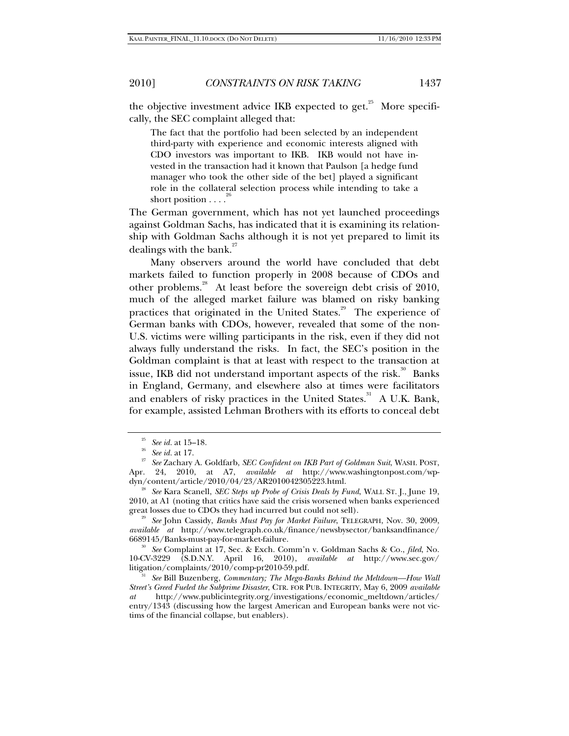the objective investment advice IKB expected to get.<sup>25</sup> More specifically, the SEC complaint alleged that:

The fact that the portfolio had been selected by an independent third-party with experience and economic interests aligned with CDO investors was important to IKB. IKB would not have invested in the transaction had it known that Paulson [a hedge fund manager who took the other side of the bet] played a significant role in the collateral selection process while intending to take a short position  $\ldots$ <sup>20</sup>

The German government, which has not yet launched proceedings against Goldman Sachs, has indicated that it is examining its relationship with Goldman Sachs although it is not yet prepared to limit its dealings with the bank. $27$ 

Many observers around the world have concluded that debt markets failed to function properly in 2008 because of CDOs and other problems.<sup>28</sup> At least before the sovereign debt crisis of 2010, much of the alleged market failure was blamed on risky banking practices that originated in the United States.<sup>29</sup> The experience of German banks with CDOs, however, revealed that some of the non-U.S. victims were willing participants in the risk, even if they did not always fully understand the risks. In fact, the SEC's position in the Goldman complaint is that at least with respect to the transaction at issue, IKB did not understand important aspects of the risk.<sup>30</sup> Banks in England, Germany, and elsewhere also at times were facilitators and enablers of risky practices in the United States.<sup>31</sup> A U.K. Bank, for example, assisted Lehman Brothers with its efforts to conceal debt

<sup>25</sup> *See id.* at 15–18. 26 *See id.* at 17. 27 *See* Zachary A. Goldfarb, *SEC Confident on IKB Part of Goldman Suit*, WASH. POST, Apr. 24, 2010, at A7, *available at* http://www.washingtonpost.com/wp-

See Kara Scanell, *SEC Steps up Probe of Crisis Deals by Fund*, WALL ST. J., June 19, 2010, at A1 (noting that critics have said the crisis worsened when banks experienced

<sup>&</sup>lt;sup>29</sup> See John Cassidy, *Banks Must Pay for Market Failure*, TELEGRAPH, Nov. 30, 2009, *available at* http://www.telegraph.co.uk/finance/newsbysector/banksandfinance/ 6689145/Banks-must-pay-for-market-failure. 30 *See* Complaint at 17, Sec. & Exch. Comm'n v. Goldman Sachs & Co., *filed*, No.

<sup>10-</sup>CV-3229 (S.D.N.Y. April 16, 2010), *available at* http://www.sec.gov/ litigation/complaints/2010/comp-pr2010-59.pdf. 31 *See* Bill Buzenberg, *Commentary; The Mega-Banks Behind the Meltdown—How Wall* 

*Street's Greed Fueled the Subprime Disaster*, CTR. FOR PUB. INTEGRITY, May 6, 2009 *available at* http://www.publicintegrity.org/investigations/economic\_meltdown/articles/ entry/1343 (discussing how the largest American and European banks were not victims of the financial collapse, but enablers).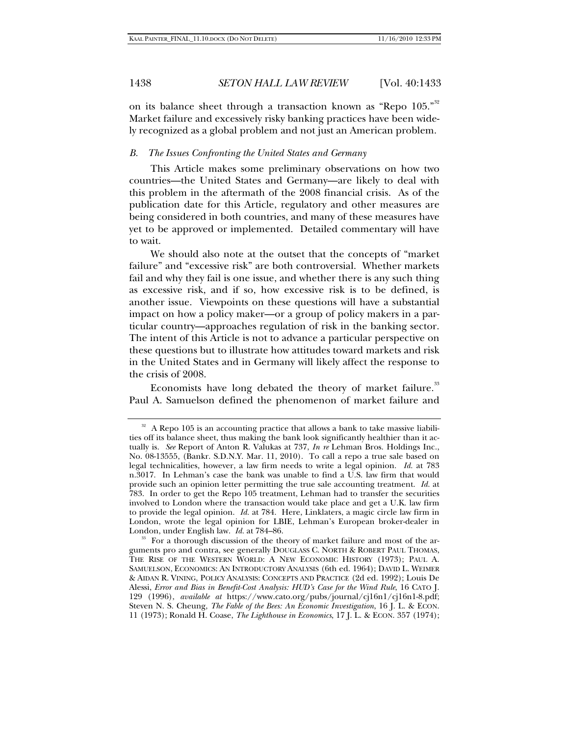on its balance sheet through a transaction known as "Repo 105."<sup>32</sup> Market failure and excessively risky banking practices have been widely recognized as a global problem and not just an American problem.

### *B. The Issues Confronting the United States and Germany*

This Article makes some preliminary observations on how two countries—the United States and Germany—are likely to deal with this problem in the aftermath of the 2008 financial crisis. As of the publication date for this Article, regulatory and other measures are being considered in both countries, and many of these measures have yet to be approved or implemented. Detailed commentary will have to wait.

We should also note at the outset that the concepts of "market failure" and "excessive risk" are both controversial. Whether markets fail and why they fail is one issue, and whether there is any such thing as excessive risk, and if so, how excessive risk is to be defined, is another issue. Viewpoints on these questions will have a substantial impact on how a policy maker—or a group of policy makers in a particular country—approaches regulation of risk in the banking sector. The intent of this Article is not to advance a particular perspective on these questions but to illustrate how attitudes toward markets and risk in the United States and in Germany will likely affect the response to the crisis of 2008.

Economists have long debated the theory of market failure.<sup>33</sup> Paul A. Samuelson defined the phenomenon of market failure and

<sup>&</sup>lt;sup>32</sup> A Repo 105 is an accounting practice that allows a bank to take massive liabilities off its balance sheet, thus making the bank look significantly healthier than it actually is. *See* Report of Anton R. Valukas at 737, *In re* Lehman Bros. Holdings Inc., No. 08-13555, (Bankr. S.D.N.Y. Mar. 11, 2010). To call a repo a true sale based on legal technicalities, however, a law firm needs to write a legal opinion. *Id.* at 783 n.3017. In Lehman's case the bank was unable to find a U.S. law firm that would provide such an opinion letter permitting the true sale accounting treatment. *Id.* at 783. In order to get the Repo 105 treatment, Lehman had to transfer the securities involved to London where the transaction would take place and get a U.K. law firm to provide the legal opinion. *Id.* at 784. Here, Linklaters, a magic circle law firm in London, wrote the legal opinion for LBIE, Lehman's European broker-dealer in London, under English law. *Id.* at 784–86.

<sup>&</sup>lt;sup>33</sup> For a thorough discussion of the theory of market failure and most of the arguments pro and contra, see generally DOUGLASS C. NORTH & ROBERT PAUL THOMAS, THE RISE OF THE WESTERN WORLD: A NEW ECONOMIC HISTORY (1973); PAUL A. SAMUELSON, ECONOMICS: AN INTRODUCTORY ANALYSIS (6th ed. 1964); DAVID L. WEIMER & AIDAN R. VINING, POLICY ANALYSIS: CONCEPTS AND PRACTICE (2d ed. 1992); Louis De Alessi, *Error and Bias in Benefit-Cost Analysis: HUD's Case for the Wind Rule*, 16 CATO J. 129 (1996), *available at* https://www.cato.org/pubs/journal/cj16n1/cj16n1-8.pdf; Steven N. S. Cheung, *The Fable of the Bees: An Economic Investigation*, 16 J. L. & ECON. 11 (1973); Ronald H. Coase, *The Lighthouse in Economics*, 17 J. L. & ECON. 357 (1974);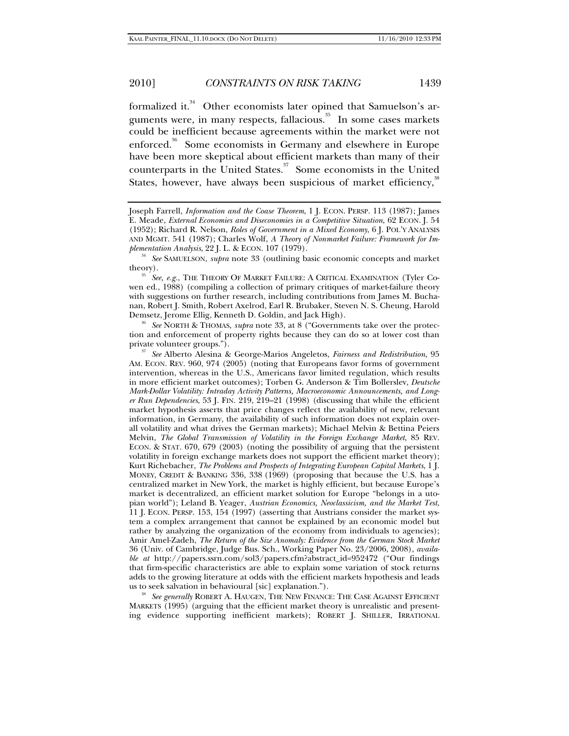formalized it.<sup>34</sup> Other economists later opined that Samuelson's arguments were, in many respects, fallacious.<sup>35</sup> In some cases markets could be inefficient because agreements within the market were not enforced.<sup>36</sup> Some economists in Germany and elsewhere in Europe have been more skeptical about efficient markets than many of their counterparts in the United States.<sup>37</sup> Some economists in the United States, however, have always been suspicious of market efficiency,<sup>38</sup>

Demsetz, Jerome Ellig, Kenneth D. Goldin, and Jack High). 36 *See* NORTH & THOMAS, *supra* note 33, at 8 ("Governments take over the protection and enforcement of property rights because they can do so at lower cost than private volunteer groups.").

<sup>37</sup> See Alberto Alesina & George-Marios Angeletos, *Fairness and Redistribution*, 95 AM. ECON. REV. 960, 974 (2005) (noting that Europeans favor forms of government intervention, whereas in the U.S., Americans favor limited regulation, which results in more efficient market outcomes); Torben G. Anderson & Tim Bollerslev, *Deutsche Mark-Dollar Volatility: Intraday Activity Patterns, Macroeconomic Announcements, and Longer Run Dependencies*, 53 J. FIN. 219, 219–21 (1998) (discussing that while the efficient market hypothesis asserts that price changes reflect the availability of new, relevant information, in Germany, the availability of such information does not explain overall volatility and what drives the German markets); Michael Melvin & Bettina Peiers Melvin, *The Global Transmission of Volatility in the Foreign Exchange Market*, 85 REV. ECON. & STAT. 670, 679 (2003) (noting the possibility of arguing that the persistent volatility in foreign exchange markets does not support the efficient market theory); Kurt Richebacher, *The Problems and Prospects of Integrating European Capital Markets*, 1 J. MONEY, CREDIT & BANKING 336, 338 (1969) (proposing that because the U.S. has a centralized market in New York, the market is highly efficient, but because Europe's market is decentralized, an efficient market solution for Europe "belongs in a utopian world"); Leland B. Yeager, *Austrian Economics, Neoclassicism, and the Market Test*, 11 J. ECON. PERSP. 153, 154 (1997) (asserting that Austrians consider the market system a complex arrangement that cannot be explained by an economic model but rather by analyzing the organization of the economy from individuals to agencies); Amir Amel-Zadeh, *The Return of the Size Anomaly: Evidence from the German Stock Market* 36 (Univ. of Cambridge, Judge Bus. Sch., Working Paper No. 23/2006, 2008), *available at* http://papers.ssrn.com/sol3/papers.cfm?abstract\_id=952472 ("Our findings that firm-specific characteristics are able to explain some variation of stock returns adds to the growing literature at odds with the efficient markets hypothesis and leads us to seek salvation in behavioural [sic] explanation.").

<sup>38</sup> See generally ROBERT A. HAUGEN, THE NEW FINANCE: THE CASE AGAINST EFFICIENT MARKETS (1995) (arguing that the efficient market theory is unrealistic and presenting evidence supporting inefficient markets); ROBERT J. SHILLER, IRRATIONAL

Joseph Farrell, *Information and the Coase Theorem*, 1 J. ECON. PERSP. 113 (1987); James E. Meade, *External Economies and Diseconomies in a Competitive Situation*, 62 ECON. J. 54 (1952); Richard R. Nelson, *Roles of Government in a Mixed Economy*, 6 J. POL'Y ANALYSIS AND MGMT. 541 (1987); Charles Wolf, *A Theory of Nonmarket Failure: Framework for Im-*

*plementation Analysis*, 22 J. L. & ECON. 107 (1979). 34 *See* SAMUELSON, *supra* note 33 (outlining basic economic concepts and market

theory). 35 *See, e.g.*, THE THEORY OF MARKET FAILURE: <sup>A</sup> CRITICAL EXAMINATION (Tyler Cowen ed., 1988) (compiling a collection of primary critiques of market-failure theory with suggestions on further research, including contributions from James M. Buchanan, Robert J. Smith, Robert Axelrod, Earl R. Brubaker, Steven N. S. Cheung, Harold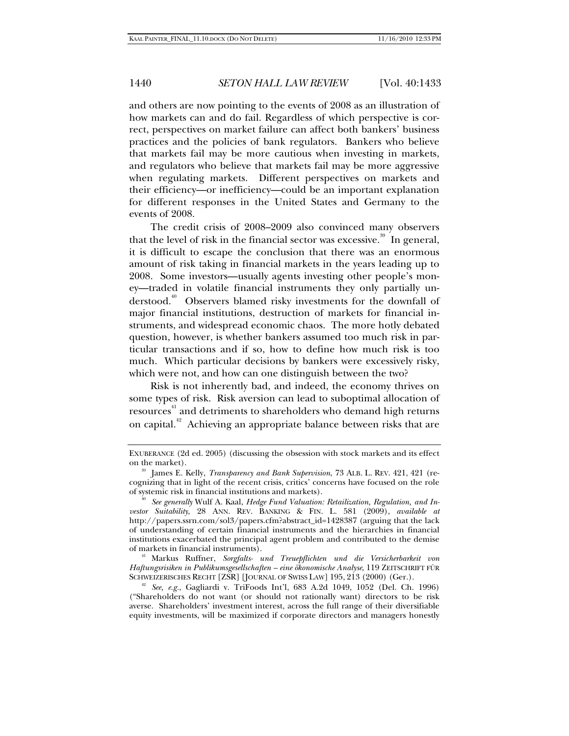and others are now pointing to the events of 2008 as an illustration of how markets can and do fail. Regardless of which perspective is correct, perspectives on market failure can affect both bankers' business practices and the policies of bank regulators. Bankers who believe that markets fail may be more cautious when investing in markets, and regulators who believe that markets fail may be more aggressive when regulating markets. Different perspectives on markets and their efficiency—or inefficiency—could be an important explanation for different responses in the United States and Germany to the events of 2008.

The credit crisis of 2008–2009 also convinced many observers that the level of risk in the financial sector was excessive.<sup>39</sup> In general, it is difficult to escape the conclusion that there was an enormous amount of risk taking in financial markets in the years leading up to 2008. Some investors—usually agents investing other people's money—traded in volatile financial instruments they only partially understood.<sup>40</sup> Observers blamed risky investments for the downfall of major financial institutions, destruction of markets for financial instruments, and widespread economic chaos. The more hotly debated question, however, is whether bankers assumed too much risk in particular transactions and if so, how to define how much risk is too much. Which particular decisions by bankers were excessively risky, which were not, and how can one distinguish between the two?

Risk is not inherently bad, and indeed, the economy thrives on some types of risk. Risk aversion can lead to suboptimal allocation of resources<sup>41</sup> and detriments to shareholders who demand high returns on capital.<sup>42</sup> Achieving an appropriate balance between risks that are

*Haftungsrisiken in Publikumsgesellschaften – eine ökonomische Analyse*, 119 ZEITSCHRIFT FÜR

<sup>42</sup> See, e.g., Gagliardi v. TriFoods Int'l, 683 A.2d 1049, 1052 (Del. Ch. 1996) ("Shareholders do not want (or should not rationally want) directors to be risk averse. Shareholders' investment interest, across the full range of their diversifiable equity investments, will be maximized if corporate directors and managers honestly

EXUBERANCE (2d ed. 2005) (discussing the obsession with stock markets and its effect on the market). 39 James E. Kelly, *Transparency and Bank Supervision*, 73 ALB. L. REV. 421, 421 (re-

cognizing that in light of the recent crisis, critics' concerns have focused on the role of systemic risk in financial institutions and markets). 40 *See generally* Wulf A. Kaal, *Hedge Fund Valuation: Retailization, Regulation, and In-*

*vestor Suitability*, 28 ANN. REV. BANKING & FIN. L. 581 (2009), *available at* http://papers.ssrn.com/sol3/papers.cfm?abstract\_id=1428387 (arguing that the lack of understanding of certain financial instruments and the hierarchies in financial institutions exacerbated the principal agent problem and contributed to the demise of markets in financial instruments). 41 Markus Ruffner, *Sorgfalts- und Treuepflichten und die Versicherbarkeit von*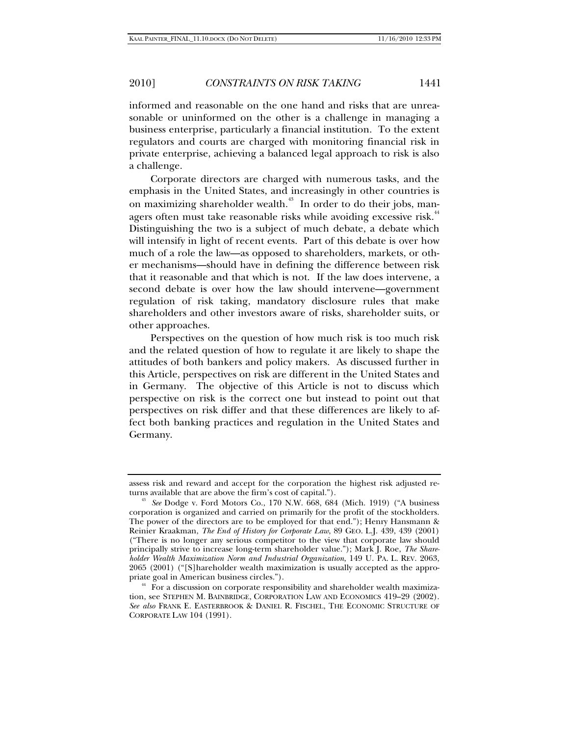informed and reasonable on the one hand and risks that are unreasonable or uninformed on the other is a challenge in managing a business enterprise, particularly a financial institution. To the extent regulators and courts are charged with monitoring financial risk in private enterprise, achieving a balanced legal approach to risk is also a challenge.

Corporate directors are charged with numerous tasks, and the emphasis in the United States, and increasingly in other countries is on maximizing shareholder wealth.<sup>43</sup> In order to do their jobs, managers often must take reasonable risks while avoiding excessive risk.<sup>44</sup> Distinguishing the two is a subject of much debate, a debate which will intensify in light of recent events. Part of this debate is over how much of a role the law—as opposed to shareholders, markets, or other mechanisms—should have in defining the difference between risk that it reasonable and that which is not. If the law does intervene, a second debate is over how the law should intervene—government regulation of risk taking, mandatory disclosure rules that make shareholders and other investors aware of risks, shareholder suits, or other approaches.

Perspectives on the question of how much risk is too much risk and the related question of how to regulate it are likely to shape the attitudes of both bankers and policy makers. As discussed further in this Article, perspectives on risk are different in the United States and in Germany. The objective of this Article is not to discuss which perspective on risk is the correct one but instead to point out that perspectives on risk differ and that these differences are likely to affect both banking practices and regulation in the United States and Germany.

assess risk and reward and accept for the corporation the highest risk adjusted returns available that are above the firm's cost of capital."). 43 *See* Dodge v. Ford Motors Co., 170 N.W. 668, 684 (Mich. 1919) ("A business

corporation is organized and carried on primarily for the profit of the stockholders. The power of the directors are to be employed for that end."); Henry Hansmann & Reinier Kraakman, *The End of History for Corporate Law*, 89 GEO. L.J. 439, 439 (2001) ("There is no longer any serious competitor to the view that corporate law should principally strive to increase long-term shareholder value."); Mark J. Roe, *The Shareholder Wealth Maximization Norm and Industrial Organization*, 149 U. PA. L. REV. 2063, 2065 (2001) ("[S]hareholder wealth maximization is usually accepted as the appro-<br>priate goal in American business circles.").

<sup>&</sup>lt;sup>44</sup> For a discussion on corporate responsibility and shareholder wealth maximization, see STEPHEN M. BAINBRIDGE, CORPORATION LAW AND ECONOMICS 419–29 (2002). *See also* FRANK E. EASTERBROOK & DANIEL R. FISCHEL, THE ECONOMIC STRUCTURE OF CORPORATE LAW 104 (1991).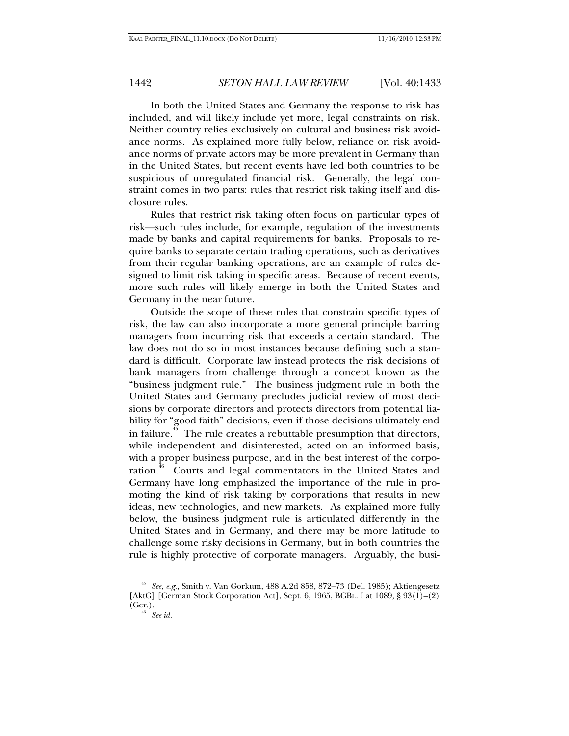In both the United States and Germany the response to risk has included, and will likely include yet more, legal constraints on risk. Neither country relies exclusively on cultural and business risk avoidance norms. As explained more fully below, reliance on risk avoidance norms of private actors may be more prevalent in Germany than in the United States, but recent events have led both countries to be suspicious of unregulated financial risk. Generally, the legal constraint comes in two parts: rules that restrict risk taking itself and disclosure rules.

Rules that restrict risk taking often focus on particular types of risk—such rules include, for example, regulation of the investments made by banks and capital requirements for banks. Proposals to require banks to separate certain trading operations, such as derivatives from their regular banking operations, are an example of rules designed to limit risk taking in specific areas. Because of recent events, more such rules will likely emerge in both the United States and Germany in the near future.

Outside the scope of these rules that constrain specific types of risk, the law can also incorporate a more general principle barring managers from incurring risk that exceeds a certain standard. The law does not do so in most instances because defining such a standard is difficult. Corporate law instead protects the risk decisions of bank managers from challenge through a concept known as the "business judgment rule." The business judgment rule in both the United States and Germany precludes judicial review of most decisions by corporate directors and protects directors from potential liability for "good faith" decisions, even if those decisions ultimately end in failure.<sup> $\frac{45}{5}$ </sup> The rule creates a rebuttable presumption that directors, while independent and disinterested, acted on an informed basis, with a proper business purpose, and in the best interest of the corporation.<sup>46</sup> Courts and legal commentators in the United States and Germany have long emphasized the importance of the rule in promoting the kind of risk taking by corporations that results in new ideas, new technologies, and new markets. As explained more fully below, the business judgment rule is articulated differently in the United States and in Germany, and there may be more latitude to challenge some risky decisions in Germany, but in both countries the rule is highly protective of corporate managers. Arguably, the busi-

<sup>45</sup> *See, e.g.*, Smith v. Van Gorkum, 488 A.2d 858, 872–73 (Del. 1985); Aktiengesetz [AktG] [German Stock Corporation Act], Sept. 6, 1965, BGBL. I at 1089, § 93(1)–(2) (Ger.). 46 *See id.*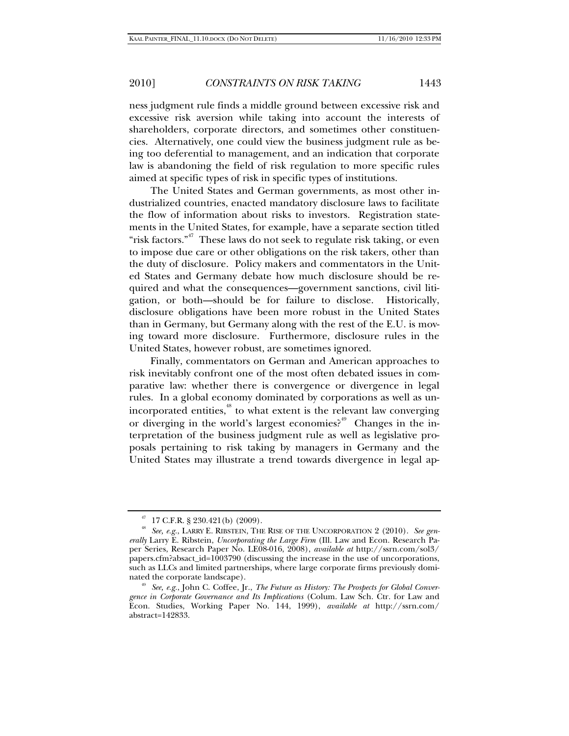ness judgment rule finds a middle ground between excessive risk and excessive risk aversion while taking into account the interests of shareholders, corporate directors, and sometimes other constituencies. Alternatively, one could view the business judgment rule as being too deferential to management, and an indication that corporate law is abandoning the field of risk regulation to more specific rules aimed at specific types of risk in specific types of institutions.

The United States and German governments, as most other industrialized countries, enacted mandatory disclosure laws to facilitate the flow of information about risks to investors. Registration statements in the United States, for example, have a separate section titled "risk factors."<sup>47</sup> These laws do not seek to regulate risk taking, or even to impose due care or other obligations on the risk takers, other than the duty of disclosure. Policy makers and commentators in the United States and Germany debate how much disclosure should be required and what the consequences—government sanctions, civil litigation, or both—should be for failure to disclose. Historically, disclosure obligations have been more robust in the United States than in Germany, but Germany along with the rest of the E.U. is moving toward more disclosure. Furthermore, disclosure rules in the United States, however robust, are sometimes ignored.

Finally, commentators on German and American approaches to risk inevitably confront one of the most often debated issues in comparative law: whether there is convergence or divergence in legal rules. In a global economy dominated by corporations as well as unincorporated entities,<sup>48</sup> to what extent is the relevant law converging or diverging in the world's largest economies?<sup>49</sup> Changes in the interpretation of the business judgment rule as well as legislative proposals pertaining to risk taking by managers in Germany and the United States may illustrate a trend towards divergence in legal ap-

 $47$  17 C.F.R. § 230.421(b) (2009).

<sup>48</sup> *See, e.g.*, LARRY E. RIBSTEIN, THE RISE OF THE UNCORPORATION 2 (2010). *See generally* Larry E. Ribstein, *Uncorporating the Large Firm* (Ill. Law and Econ. Research Paper Series, Research Paper No. LE08-016, 2008), *available at* http://ssrn.com/sol3/ papers.cfm?absact\_id=1003790 (discussing the increase in the use of uncorporations, such as LLCs and limited partnerships, where large corporate firms previously dominated the corporate landscape).

<sup>&</sup>lt;sup>49</sup> See, e.g., John C. Coffee, Jr., *The Future as History: The Prospects for Global Convergence in Corporate Governance and Its Implications* (Colum. Law Sch. Ctr. for Law and Econ. Studies, Working Paper No. 144, 1999), *available at* http://ssrn.com/ abstract=142833.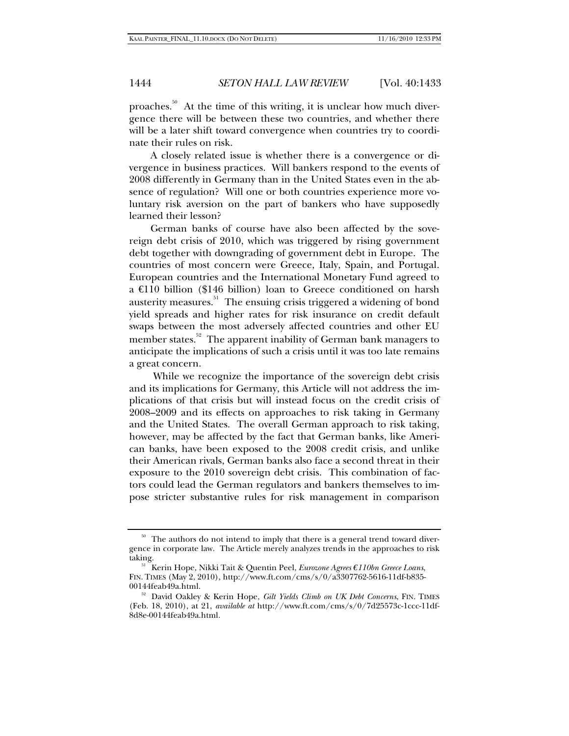proaches.<sup>50</sup> At the time of this writing, it is unclear how much divergence there will be between these two countries, and whether there will be a later shift toward convergence when countries try to coordinate their rules on risk.

A closely related issue is whether there is a convergence or divergence in business practices. Will bankers respond to the events of 2008 differently in Germany than in the United States even in the absence of regulation? Will one or both countries experience more voluntary risk aversion on the part of bankers who have supposedly learned their lesson?

German banks of course have also been affected by the sovereign debt crisis of 2010, which was triggered by rising government debt together with downgrading of government debt in Europe. The countries of most concern were Greece, Italy, Spain, and Portugal. European countries and the International Monetary Fund agreed to a €110 billion (\$146 billion) loan to Greece conditioned on harsh austerity measures.<sup>51</sup> The ensuing crisis triggered a widening of bond yield spreads and higher rates for risk insurance on credit default swaps between the most adversely affected countries and other EU member states.<sup>52</sup> The apparent inability of German bank managers to anticipate the implications of such a crisis until it was too late remains a great concern.

 While we recognize the importance of the sovereign debt crisis and its implications for Germany, this Article will not address the implications of that crisis but will instead focus on the credit crisis of 2008–2009 and its effects on approaches to risk taking in Germany and the United States. The overall German approach to risk taking, however, may be affected by the fact that German banks, like American banks, have been exposed to the 2008 credit crisis, and unlike their American rivals, German banks also face a second threat in their exposure to the 2010 sovereign debt crisis. This combination of factors could lead the German regulators and bankers themselves to impose stricter substantive rules for risk management in comparison

<sup>&</sup>lt;sup>50</sup> The authors do not intend to imply that there is a general trend toward divergence in corporate law. The Article merely analyzes trends in the approaches to risk

taking. 51 Kerin Hope, Nikki Tait & Quentin Peel, *Eurozone Agrees €110bn Greece Loans*, FIN. TIMES (May 2, 2010), http://www.ft.com/cms/s/0/a3307762-5616-11df-b835-

<sup>&</sup>lt;sup>52</sup> David Oakley & Kerin Hope, *Gilt Yields Climb on UK Debt Concerns*, FIN. TIMES (Feb. 18, 2010), at 21, *available at* http://www.ft.com/cms/s/0/7d25573c-1ccc-11df-8d8e-00144feab49a.html.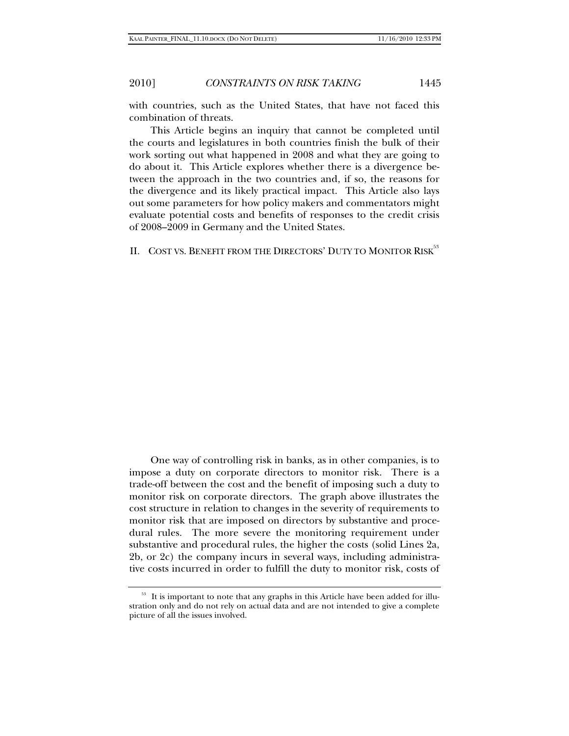with countries, such as the United States, that have not faced this combin nation of thr reats.

This Article begins an inquiry that cannot be completed until the courts and legislatures in both countries finish the bulk of their work sorting out what happened in 2008 and what they are going to do about it. This Article explores whether there is a divergence between the approach in the two countries and, if so, the reasons for the divergence and its likely practical impact. This Article also lays out some parameters for how policy makers and commentators might evaluate potential costs and benefits of responses to the credit crisis of 2008 8–2009 in Ge ermany and the United S States.

II. COST VS. BENEFIT FROM THE DIRECTORS' DUTY TO MONITOR RISK<sup>53</sup>

One way of controlling risk in banks, as in other companies, is to impose a duty on corporate directors to monitor risk. There is a trade-off between the cost and the benefit of imposing such a duty to monitor risk on corporate directors. The graph above illustrates the cost structure in relation to changes in the severity of requirements to monitor risk that are imposed on directors by substantive and procedural rules. The more severe the monitoring requirement under substantive and procedural rules, the higher the costs (solid Lines 2a, 2b, or 2c) the company incurs in several ways, including administrative costs incurred in order to fulfill the duty to monitor risk, costs of

<sup>&</sup>lt;sup>53</sup> It is important to note that any graphs in this Article have been added for illustration only and do not rely on actual data and are not intended to give a complete picture of all the issues involved.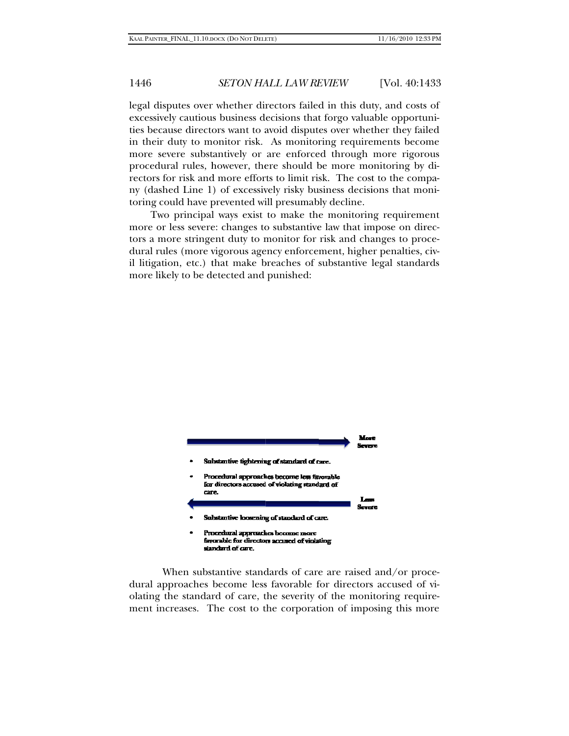legal disputes over whether directors failed in this duty, and costs of excessively cautious business decisions that forgo valuable opportunities because directors want to avoid disputes over whether they failed in their duty to monitor risk. As monitoring requirements become more severe substantively or are enforced through more rigorous procedural rules, however, there should be more monitoring by directors for risk and more efforts to limit risk. The cost to the company (dashed Line 1) of excessively risky business decisions that monitoring could have prevented will presumably decline.

Two principal ways exist to make the monitoring requirement more or less severe: changes to substantive law that impose on directors a more stringent duty to monitor for risk and changes to procedural rules (more vigorous agency enforcement, higher penalties, civil litigation, etc.) that make breaches of substantive legal standards more li ikely to be d etected and punished:



dural approaches become less favorable for directors accused of violating the standard of care, the severity of the monitoring requirement increases. The cost to the corporation of imposing this more When substantive standards of care are raised and/or proce-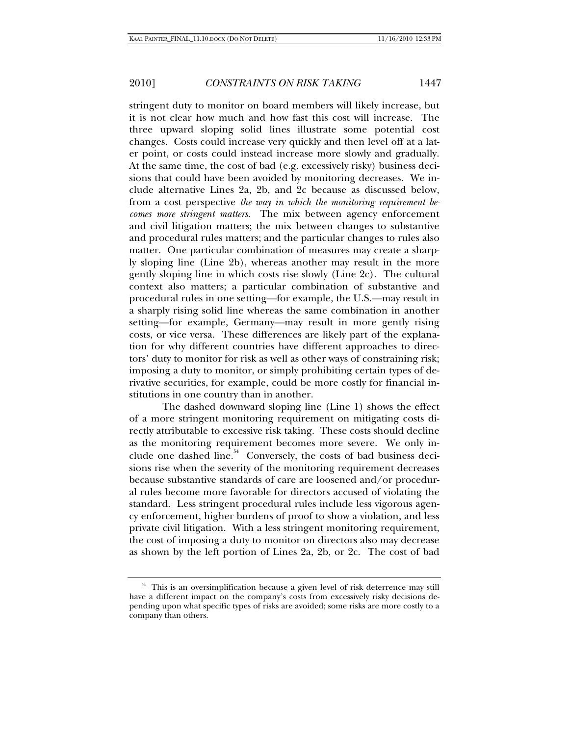stringent duty to monitor on board members will likely increase, but it is not clear how much and how fast this cost will increase. The three upward sloping solid lines illustrate some potential cost changes. Costs could increase very quickly and then level off at a later point, or costs could instead increase more slowly and gradually. At the same time, the cost of bad (e.g. excessively risky) business decisions that could have been avoided by monitoring decreases. We include alternative Lines 2a, 2b, and 2c because as discussed below, from a cost perspective *the way in which the monitoring requirement becomes more stringent matters*. The mix between agency enforcement and civil litigation matters; the mix between changes to substantive and procedural rules matters; and the particular changes to rules also matter. One particular combination of measures may create a sharply sloping line (Line 2b), whereas another may result in the more gently sloping line in which costs rise slowly (Line 2c). The cultural context also matters; a particular combination of substantive and procedural rules in one setting—for example, the U.S.—may result in a sharply rising solid line whereas the same combination in another setting—for example, Germany—may result in more gently rising costs, or vice versa. These differences are likely part of the explanation for why different countries have different approaches to directors' duty to monitor for risk as well as other ways of constraining risk; imposing a duty to monitor, or simply prohibiting certain types of derivative securities, for example, could be more costly for financial institutions in one country than in another.

The dashed downward sloping line (Line 1) shows the effect of a more stringent monitoring requirement on mitigating costs directly attributable to excessive risk taking. These costs should decline as the monitoring requirement becomes more severe. We only include one dashed line.<sup>54</sup> Conversely, the costs of bad business decisions rise when the severity of the monitoring requirement decreases because substantive standards of care are loosened and/or procedural rules become more favorable for directors accused of violating the standard. Less stringent procedural rules include less vigorous agency enforcement, higher burdens of proof to show a violation, and less private civil litigation. With a less stringent monitoring requirement, the cost of imposing a duty to monitor on directors also may decrease as shown by the left portion of Lines 2a, 2b, or 2c. The cost of bad

<sup>54</sup> This is an oversimplification because a given level of risk deterrence may still have a different impact on the company's costs from excessively risky decisions depending upon what specific types of risks are avoided; some risks are more costly to a company than others.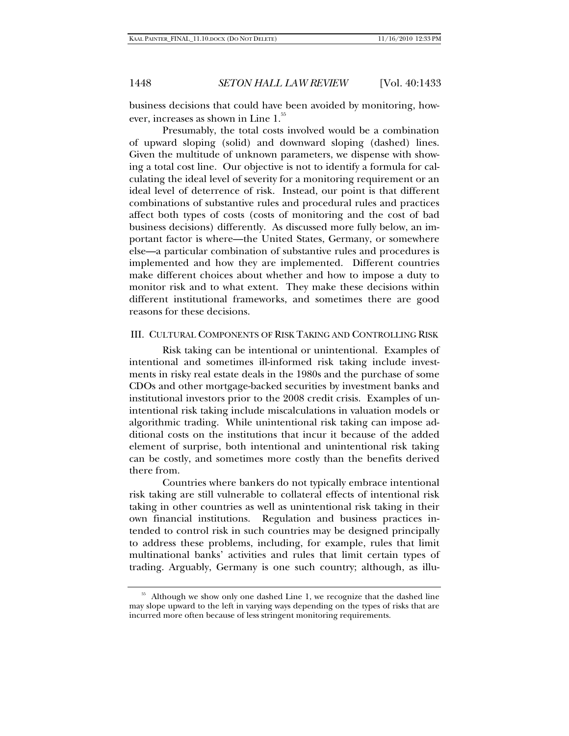business decisions that could have been avoided by monitoring, however, increases as shown in Line 1.<sup>55</sup>

Presumably, the total costs involved would be a combination of upward sloping (solid) and downward sloping (dashed) lines. Given the multitude of unknown parameters, we dispense with showing a total cost line. Our objective is not to identify a formula for calculating the ideal level of severity for a monitoring requirement or an ideal level of deterrence of risk. Instead, our point is that different combinations of substantive rules and procedural rules and practices affect both types of costs (costs of monitoring and the cost of bad business decisions) differently. As discussed more fully below, an important factor is where—the United States, Germany, or somewhere else—a particular combination of substantive rules and procedures is implemented and how they are implemented. Different countries make different choices about whether and how to impose a duty to monitor risk and to what extent. They make these decisions within different institutional frameworks, and sometimes there are good reasons for these decisions.

## III. CULTURAL COMPONENTS OF RISK TAKING AND CONTROLLING RISK

Risk taking can be intentional or unintentional. Examples of intentional and sometimes ill-informed risk taking include investments in risky real estate deals in the 1980s and the purchase of some CDOs and other mortgage-backed securities by investment banks and institutional investors prior to the 2008 credit crisis. Examples of unintentional risk taking include miscalculations in valuation models or algorithmic trading. While unintentional risk taking can impose additional costs on the institutions that incur it because of the added element of surprise, both intentional and unintentional risk taking can be costly, and sometimes more costly than the benefits derived there from.

Countries where bankers do not typically embrace intentional risk taking are still vulnerable to collateral effects of intentional risk taking in other countries as well as unintentional risk taking in their own financial institutions. Regulation and business practices intended to control risk in such countries may be designed principally to address these problems, including, for example, rules that limit multinational banks' activities and rules that limit certain types of trading. Arguably, Germany is one such country; although, as illu-

<sup>&</sup>lt;sup>55</sup> Although we show only one dashed Line 1, we recognize that the dashed line may slope upward to the left in varying ways depending on the types of risks that are incurred more often because of less stringent monitoring requirements.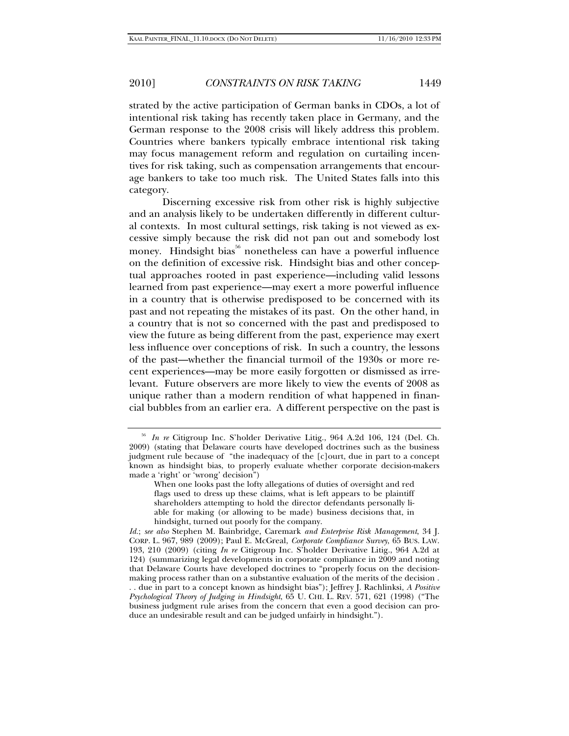strated by the active participation of German banks in CDOs, a lot of intentional risk taking has recently taken place in Germany, and the German response to the 2008 crisis will likely address this problem. Countries where bankers typically embrace intentional risk taking may focus management reform and regulation on curtailing incentives for risk taking, such as compensation arrangements that encourage bankers to take too much risk. The United States falls into this category.

Discerning excessive risk from other risk is highly subjective and an analysis likely to be undertaken differently in different cultural contexts. In most cultural settings, risk taking is not viewed as excessive simply because the risk did not pan out and somebody lost money. Hindsight bias<sup>56</sup> nonetheless can have a powerful influence on the definition of excessive risk. Hindsight bias and other conceptual approaches rooted in past experience—including valid lessons learned from past experience—may exert a more powerful influence in a country that is otherwise predisposed to be concerned with its past and not repeating the mistakes of its past. On the other hand, in a country that is not so concerned with the past and predisposed to view the future as being different from the past, experience may exert less influence over conceptions of risk. In such a country, the lessons of the past—whether the financial turmoil of the 1930s or more recent experiences—may be more easily forgotten or dismissed as irrelevant. Future observers are more likely to view the events of 2008 as unique rather than a modern rendition of what happened in financial bubbles from an earlier era. A different perspective on the past is

<sup>56</sup> *In re* Citigroup Inc. S'holder Derivative Litig., 964 A.2d 106, 124 (Del. Ch. 2009) (stating that Delaware courts have developed doctrines such as the business judgment rule because of "the inadequacy of the [c]ourt, due in part to a concept known as hindsight bias, to properly evaluate whether corporate decision-makers made a 'right' or 'wrong' decision")

When one looks past the lofty allegations of duties of oversight and red flags used to dress up these claims, what is left appears to be plaintiff shareholders attempting to hold the director defendants personally liable for making (or allowing to be made) business decisions that, in hindsight, turned out poorly for the company.

*Id.*; *see also* Stephen M. Bainbridge, Caremark *and Enterprise Risk Management*, 34 J. CORP. L. 967, 989 (2009); Paul E. McGreal, *Corporate Compliance Survey*, 65 BUS. LAW. 193, 210 (2009) (citing *In re* Citigroup Inc. S'holder Derivative Litig., 964 A.2d at 124) (summarizing legal developments in corporate compliance in 2009 and noting that Delaware Courts have developed doctrines to "properly focus on the decisionmaking process rather than on a substantive evaluation of the merits of the decision . . . due in part to a concept known as hindsight bias"); Jeffrey J. Rachlinksi, *A Positive Psychological Theory of Judging in Hindsight*, 65 U. CHI. L. REV. 571, 621 (1998) ("The business judgment rule arises from the concern that even a good decision can produce an undesirable result and can be judged unfairly in hindsight.").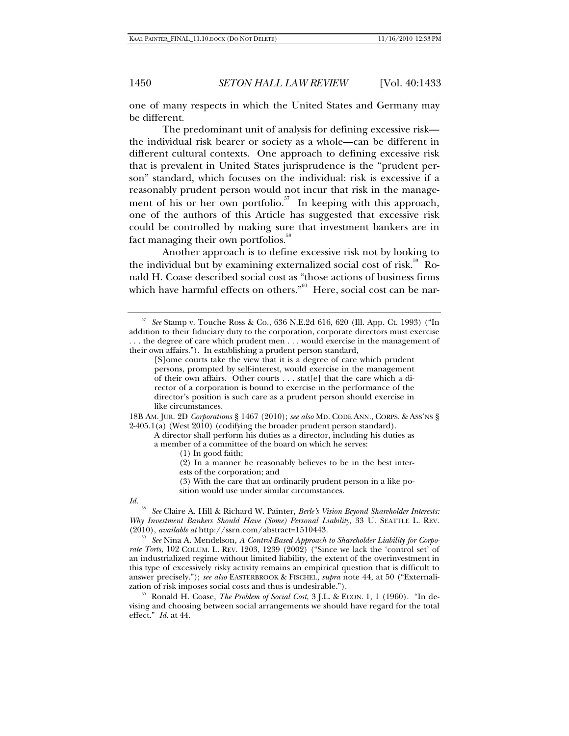one of many respects in which the United States and Germany may be different.

The predominant unit of analysis for defining excessive risk the individual risk bearer or society as a whole—can be different in different cultural contexts. One approach to defining excessive risk that is prevalent in United States jurisprudence is the "prudent person" standard, which focuses on the individual: risk is excessive if a reasonably prudent person would not incur that risk in the management of his or her own portfolio.<sup>57</sup> In keeping with this approach, one of the authors of this Article has suggested that excessive risk could be controlled by making sure that investment bankers are in fact managing their own portfolios.<sup>58</sup>

Another approach is to define excessive risk not by looking to the individual but by examining externalized social cost of risk. $59$  Ronald H. Coase described social cost as "those actions of business firms which have harmful effects on others."<sup>60</sup> Here, social cost can be nar-

18B AM. JUR. 2D *Corporations* § 1467 (2010); *see also* MD. CODE ANN., CORPS. & ASS'NS § 2-405.1(a) (West 2010) (codifying the broader prudent person standard).

A director shall perform his duties as a director, including his duties as a member of a committee of the board on which he serves:

- (1) In good faith;
- (2) In a manner he reasonably believes to be in the best inter-
- ests of the corporation; and

(3) With the care that an ordinarily prudent person in a like position would use under similar circumstances.

#### *Id.*

<sup>58</sup> *See* Claire A. Hill & Richard W. Painter, *Berle's Vision Beyond Shareholder Interests: Why Investment Bankers Should Have (Some) Personal Liability*, 33 U. SEATTLE L. REV. (2010), *available at* http://ssrn.com/abstract=1510443.

<sup>59</sup> See Nina A. Mendelson, *A Control-Based Approach to Shareholder Liability for Corporate Torts*, 102 COLUM. L. REV. 1203, 1239 (2002) ("Since we lack the 'control set' of an industrialized regime without limited liability, the extent of the overinvestment in this type of excessively risky activity remains an empirical question that is difficult to answer precisely."); *see also* EASTERBROOK & FISCHEL, *supra* note 44, at 50 ("Externali-

<sup>60</sup> Ronald H. Coase, *The Problem of Social Cost*, 3 J.L. & ECON. 1, 1 (1960). "In devising and choosing between social arrangements we should have regard for the total effect." *Id.* at 44.

<sup>57</sup> *See* Stamp v. Touche Ross & Co., 636 N.E.2d 616, 620 (Ill. App. Ct. 1993) ("In addition to their fiduciary duty to the corporation, corporate directors must exercise . . . the degree of care which prudent men . . . would exercise in the management of their own affairs."). In establishing a prudent person standard,

<sup>[</sup>S]ome courts take the view that it is a degree of care which prudent persons, prompted by self-interest, would exercise in the management of their own affairs. Other courts . . . stat[e] that the care which a director of a corporation is bound to exercise in the performance of the director's position is such care as a prudent person should exercise in like circumstances.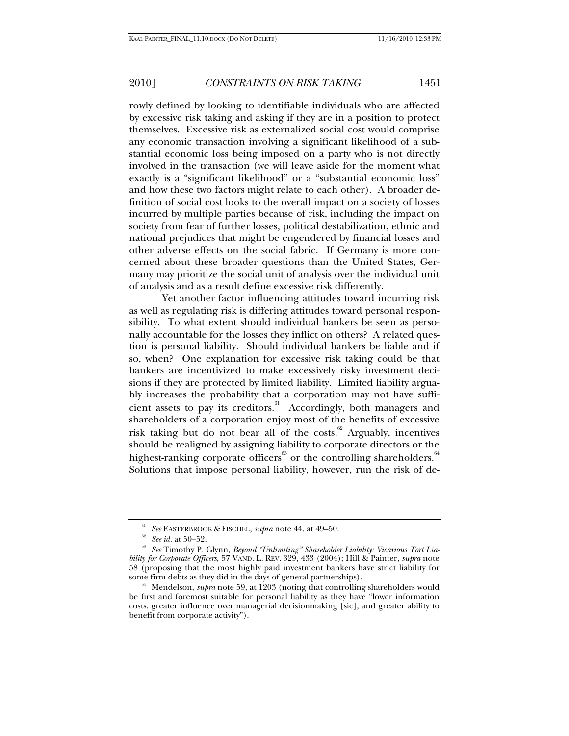rowly defined by looking to identifiable individuals who are affected by excessive risk taking and asking if they are in a position to protect themselves. Excessive risk as externalized social cost would comprise any economic transaction involving a significant likelihood of a substantial economic loss being imposed on a party who is not directly involved in the transaction (we will leave aside for the moment what exactly is a "significant likelihood" or a "substantial economic loss" and how these two factors might relate to each other). A broader definition of social cost looks to the overall impact on a society of losses incurred by multiple parties because of risk, including the impact on society from fear of further losses, political destabilization, ethnic and national prejudices that might be engendered by financial losses and other adverse effects on the social fabric. If Germany is more concerned about these broader questions than the United States, Germany may prioritize the social unit of analysis over the individual unit of analysis and as a result define excessive risk differently.

Yet another factor influencing attitudes toward incurring risk as well as regulating risk is differing attitudes toward personal responsibility. To what extent should individual bankers be seen as personally accountable for the losses they inflict on others? A related question is personal liability. Should individual bankers be liable and if so, when? One explanation for excessive risk taking could be that bankers are incentivized to make excessively risky investment decisions if they are protected by limited liability. Limited liability arguably increases the probability that a corporation may not have sufficient assets to pay its creditors.<sup>61</sup> Accordingly, both managers and shareholders of a corporation enjoy most of the benefits of excessive risk taking but do not bear all of the costs.<sup>62</sup> Arguably, incentives should be realigned by assigning liability to corporate directors or the highest-ranking corporate officers $\overset{63}{\circ}$  or the controlling shareholders.  $^{64}$ Solutions that impose personal liability, however, run the risk of de-

<sup>&</sup>lt;sup>61</sup> See EASTERBROOK & FISCHEL, *supra* note 44, at 49–50.<br><sup>62</sup> See *id.* at 50–52.<br><sup>63</sup> See Timothy P. Glynn, *Beyond "Unlimiting" Shareholder Liability: Vicarious Tort Liability for Corporate Officers*, 57 VAND. L. REV. 329, 433 (2004); Hill & Painter, *supra* note 58 (proposing that the most highly paid investment bankers have strict liability for

 $64$  Mendelson, *supra* note 59, at 1203 (noting that controlling shareholders would be first and foremost suitable for personal liability as they have "lower information costs, greater influence over managerial decisionmaking [sic], and greater ability to benefit from corporate activity").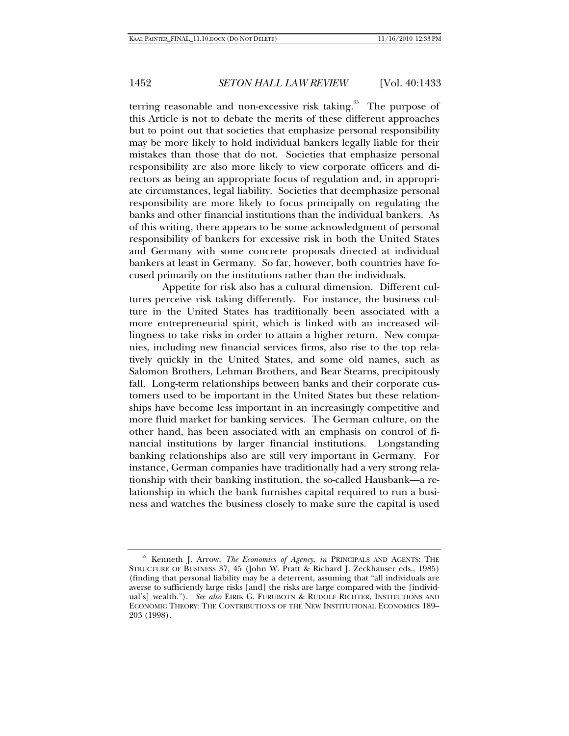terring reasonable and non-excessive risk taking. $65$  The purpose of this Article is not to debate the merits of these different approaches but to point out that societies that emphasize personal responsibility may be more likely to hold individual bankers legally liable for their mistakes than those that do not. Societies that emphasize personal responsibility are also more likely to view corporate officers and directors as being an appropriate focus of regulation and, in appropriate circumstances, legal liability. Societies that deemphasize personal responsibility are more likely to focus principally on regulating the banks and other financial institutions than the individual bankers. As of this writing, there appears to be some acknowledgment of personal responsibility of bankers for excessive risk in both the United States and Germany with some concrete proposals directed at individual bankers at least in Germany. So far, however, both countries have focused primarily on the institutions rather than the individuals.

Appetite for risk also has a cultural dimension. Different cultures perceive risk taking differently. For instance, the business culture in the United States has traditionally been associated with a more entrepreneurial spirit, which is linked with an increased willingness to take risks in order to attain a higher return. New companies, including new financial services firms, also rise to the top relatively quickly in the United States, and some old names, such as Salomon Brothers, Lehman Brothers, and Bear Stearns, precipitously fall. Long-term relationships between banks and their corporate customers used to be important in the United States but these relationships have become less important in an increasingly competitive and more fluid market for banking services. The German culture, on the other hand, has been associated with an emphasis on control of financial institutions by larger financial institutions. Longstanding banking relationships also are still very important in Germany. For instance, German companies have traditionally had a very strong relationship with their banking institution, the so-called Hausbank—a relationship in which the bank furnishes capital required to run a business and watches the business closely to make sure the capital is used

<sup>65</sup> Kenneth J. Arrow, *The Economics of Agency*, *in* PRINCIPALS AND AGENTS: THE STRUCTURE OF BUSINESS 37, 45 (John W. Pratt & Richard J. Zeckhauser eds., 1985) (finding that personal liability may be a deterrent, assuming that "all individuals are averse to sufficiently large risks [and] the risks are large compared with the [individual's] wealth."). *See also* EIRIK G. FURUBOTN & RUDOLF RICHTER, INSTITUTIONS AND ECONOMIC THEORY: THE CONTRIBUTIONS OF THE NEW INSTITUTIONAL ECONOMICS 189– 203 (1998).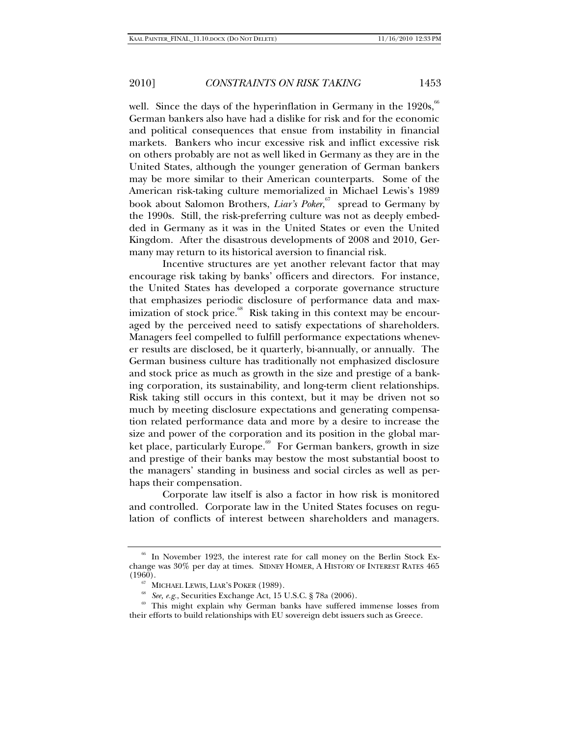well. Since the days of the hyperinflation in Germany in the  $1920s$ ,  $^{66}$ German bankers also have had a dislike for risk and for the economic and political consequences that ensue from instability in financial markets. Bankers who incur excessive risk and inflict excessive risk on others probably are not as well liked in Germany as they are in the United States, although the younger generation of German bankers may be more similar to their American counterparts. Some of the American risk-taking culture memorialized in Michael Lewis's 1989 book about Salomon Brothers, *Liar's Poker*, 67 spread to Germany by the 1990s. Still, the risk-preferring culture was not as deeply embedded in Germany as it was in the United States or even the United Kingdom. After the disastrous developments of 2008 and 2010, Germany may return to its historical aversion to financial risk.

Incentive structures are yet another relevant factor that may encourage risk taking by banks' officers and directors. For instance, the United States has developed a corporate governance structure that emphasizes periodic disclosure of performance data and maximization of stock price. $\frac{68}{100}$  Risk taking in this context may be encouraged by the perceived need to satisfy expectations of shareholders. Managers feel compelled to fulfill performance expectations whenever results are disclosed, be it quarterly, bi-annually, or annually. The German business culture has traditionally not emphasized disclosure and stock price as much as growth in the size and prestige of a banking corporation, its sustainability, and long-term client relationships. Risk taking still occurs in this context, but it may be driven not so much by meeting disclosure expectations and generating compensation related performance data and more by a desire to increase the size and power of the corporation and its position in the global market place, particularly Europe.<sup>69</sup> For German bankers, growth in size and prestige of their banks may bestow the most substantial boost to the managers' standing in business and social circles as well as perhaps their compensation.

Corporate law itself is also a factor in how risk is monitored and controlled. Corporate law in the United States focuses on regulation of conflicts of interest between shareholders and managers.

<sup>&</sup>lt;sup>66</sup> In November 1923, the interest rate for call money on the Berlin Stock Exchange was 30% per day at times. SIDNEY HOMER, A HISTORY OF INTEREST RATES 465 (1960).<br><sup>67</sup> MICHAEL LEWIS, LIAR'S POKER (1989).<br><sup>68</sup> *See, e.g.*, Securities Exchange Act, 15 U.S.C. § 78a (2006).

<sup>&</sup>lt;sup>69</sup> This might explain why German banks have suffered immense losses from their efforts to build relationships with EU sovereign debt issuers such as Greece.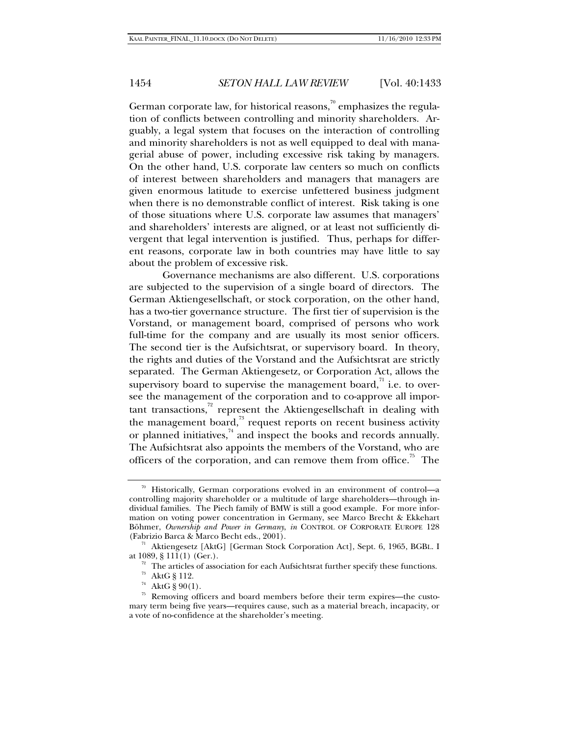German corporate law, for historical reasons, $\frac{70}{10}$  emphasizes the regulation of conflicts between controlling and minority shareholders. Arguably, a legal system that focuses on the interaction of controlling and minority shareholders is not as well equipped to deal with managerial abuse of power, including excessive risk taking by managers. On the other hand, U.S. corporate law centers so much on conflicts of interest between shareholders and managers that managers are given enormous latitude to exercise unfettered business judgment when there is no demonstrable conflict of interest. Risk taking is one of those situations where U.S. corporate law assumes that managers' and shareholders' interests are aligned, or at least not sufficiently divergent that legal intervention is justified. Thus, perhaps for different reasons, corporate law in both countries may have little to say about the problem of excessive risk.

Governance mechanisms are also different. U.S. corporations are subjected to the supervision of a single board of directors. The German Aktiengesellschaft, or stock corporation, on the other hand, has a two-tier governance structure. The first tier of supervision is the Vorstand, or management board, comprised of persons who work full-time for the company and are usually its most senior officers. The second tier is the Aufsichtsrat, or supervisory board. In theory, the rights and duties of the Vorstand and the Aufsichtsrat are strictly separated. The German Aktiengesetz, or Corporation Act, allows the supervisory board to supervise the management board, $\overline{a}$  i.e. to oversee the management of the corporation and to co-approve all important transactions, $\frac{72}{1}$  represent the Aktiengesellschaft in dealing with the management board, $\frac{73}{3}$  request reports on recent business activity or planned initiatives, $^{74}$  and inspect the books and records annually. The Aufsichtsrat also appoints the members of the Vorstand, who are officers of the corporation, and can remove them from office.<sup>75</sup> The

<sup>70</sup> Historically, German corporations evolved in an environment of control—a controlling majority shareholder or a multitude of large shareholders—through individual families. The Piech family of BMW is still a good example. For more information on voting power concentration in Germany, see Marco Brecht & Ekkehart Böhmer, *Ownership and Power in Germany*, *in* CONTROL OF CORPORATE EUROPE 128

<sup>(</sup>Fabrizio Barca & Marco Becht eds., 2001).<br><sup>71</sup> Aktiengesetz [AktG] [German Stock Corporation Act], Sept. 6, 1965, BGBL. I<br>at 1089, § 111(1) (Ger.).

 $\frac{72}{12}$  The articles of association for each Aufsichtsrat further specify these functions.

<sup>73</sup> AktG § 112.

<sup>&</sup>lt;sup>74</sup> AktG § 90(1).

<sup>75</sup> Removing officers and board members before their term expires—the customary term being five years—requires cause, such as a material breach, incapacity, or a vote of no-confidence at the shareholder's meeting.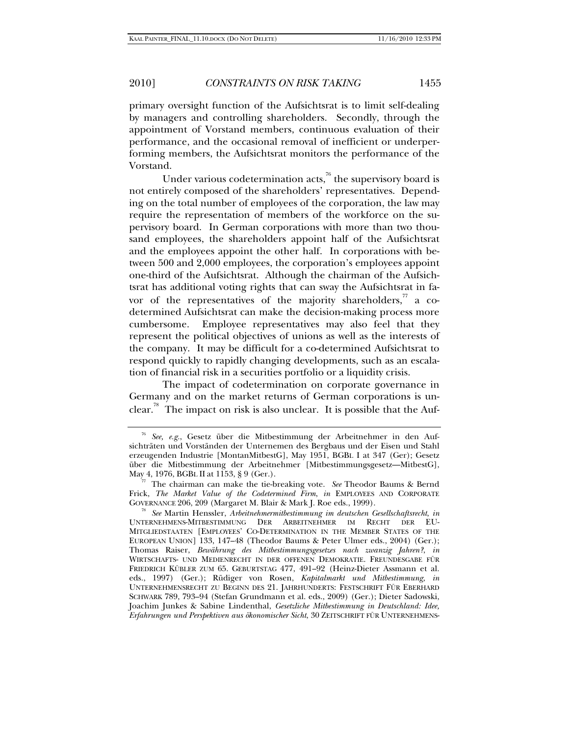primary oversight function of the Aufsichtsrat is to limit self-dealing by managers and controlling shareholders. Secondly, through the appointment of Vorstand members, continuous evaluation of their performance, and the occasional removal of inefficient or underperforming members, the Aufsichtsrat monitors the performance of the Vorstand.

Under various codetermination acts, $\frac{76}{6}$  the supervisory board is not entirely composed of the shareholders' representatives. Depending on the total number of employees of the corporation, the law may require the representation of members of the workforce on the supervisory board. In German corporations with more than two thousand employees, the shareholders appoint half of the Aufsichtsrat and the employees appoint the other half. In corporations with between 500 and 2,000 employees, the corporation's employees appoint one-third of the Aufsichtsrat. Although the chairman of the Aufsichtsrat has additional voting rights that can sway the Aufsichtsrat in favor of the representatives of the majority shareholders, $\overline{r}$  a codetermined Aufsichtsrat can make the decision-making process more cumbersome. Employee representatives may also feel that they represent the political objectives of unions as well as the interests of the company. It may be difficult for a co-determined Aufsichtsrat to respond quickly to rapidly changing developments, such as an escalation of financial risk in a securities portfolio or a liquidity crisis.

The impact of codetermination on corporate governance in Germany and on the market returns of German corporations is unclear.<sup>78</sup> The impact on risk is also unclear. It is possible that the Auf-

<sup>76</sup> *See, e.g.*, Gesetz über die Mitbestimmung der Arbeitnehmer in den Aufsichträten und Vorständen der Unternemen des Bergbaus und der Eisen und Stahl erzeugenden Industrie [MontanMitbestG], May 1951, BGBL I at 347 (Ger); Gesetz über die Mitbestimmung der Arbeitnehmer [Mitbestimmungsgesetz—MitbestG],

<sup>&</sup>lt;sup>77</sup> The chairman can make the tie-breaking vote. *See* Theodor Baums & Bernd Frick, *The Market Value of the Codetermined Firm*, *in* EMPLOYEES AND CORPORATE GOVERNANCE 206, 209 (Margaret M. Blair & Mark J. Roe eds., 1999).

<sup>&</sup>lt;sup>78</sup> See Martin Henssler, Arbeitnehmermitbestimmung im deutschen Gesellschaftsrecht, in UNTERNEHMENS-MITBESTIMMUNG DER ARBEITNEHMER IM RECHT DER EU-MITGLIEDSTAATEN [EMPLOYEES' CO-DETERMINATION IN THE MEMBER STATES OF THE EUROPEAN UNION] 133, 147–48 (Theodor Baums & Peter Ulmer eds., 2004) (Ger.); Thomas Raiser, *Bewährung des Mitbestimmungsgesetzes nach zwanzig Jahren?*, *in* WIRTSCHAFTS- UND MEDIENRECHT IN DER OFFENEN DEMOKRATIE. FREUNDESGABE FÜR FRIEDRICH KÜBLER ZUM 65. GEBURTSTAG 477, 491–92 (Heinz-Dieter Assmann et al. eds., 1997) (Ger.); Rüdiger von Rosen, *Kapitalmarkt und Mitbestimmung, in* UNTERNEHMENSRECHT ZU BEGINN DES 21. JAHRHUNDERTS: FESTSCHRIFT FÜR EBERHARD SCHWARK 789, 793–94 (Stefan Grundmann et al. eds., 2009) (Ger.); Dieter Sadowski, Joachim Junkes & Sabine Lindenthal, *Gesetzliche Mitbestimmung in Deutschland: Idee, Erfahrungen und Perspektiven aus ökonomischer Sicht*, 30 ZEITSCHRIFT FÜR UNTERNEHMENS-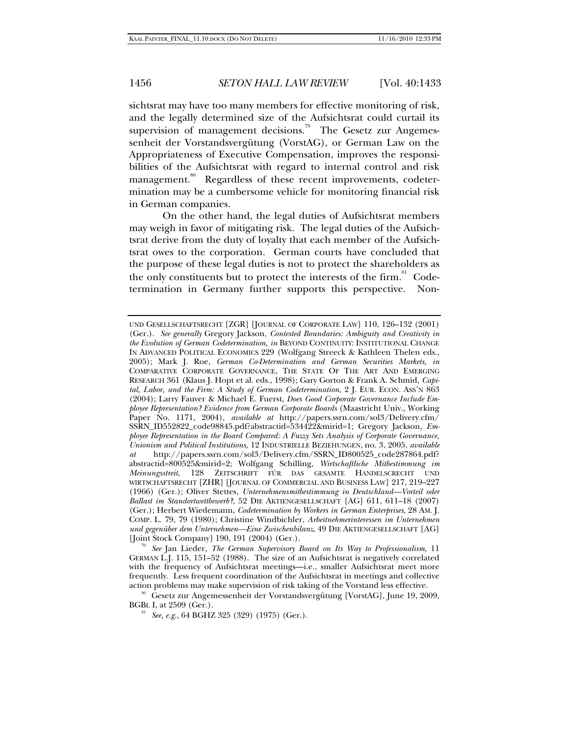sichtsrat may have too many members for effective monitoring of risk, and the legally determined size of the Aufsichtsrat could curtail its supervision of management decisions.<sup>79</sup> The Gesetz zur Angemessenheit der Vorstandsvergütung (VorstAG), or German Law on the Appropriateness of Executive Compensation, improves the responsibilities of the Aufsichtsrat with regard to internal control and risk management.<sup>80</sup> Regardless of these recent improvements, codetermination may be a cumbersome vehicle for monitoring financial risk in German companies.

On the other hand, the legal duties of Aufsichtsrat members may weigh in favor of mitigating risk. The legal duties of the Aufsichtsrat derive from the duty of loyalty that each member of the Aufsichtsrat owes to the corporation. German courts have concluded that the purpose of these legal duties is not to protect the shareholders as the only constituents but to protect the interests of the firm.<sup>81</sup> Codetermination in Germany further supports this perspective. Non-

[Joint Stock Company] 190, 191 (2004) (Ger.). 79 *See* Jan Lieder, *The German Supervisory Board on Its Way to Professionalism*, 11 GERMAN L.J. 115, 151–52 (1988). The size of an Aufsichtsrat is negatively correlated with the frequency of Aufsichtsrat meetings—i.e., smaller Aufsichtsrat meet more frequently. Less frequent coordination of the Aufsichtsrat in meetings and collective

UND GESELLSCHAFTSRECHT [ZGR] [JOURNAL OF CORPORATE LAW] 110, 126–132 (2001) (Ger.). *See generally* Gregory Jackson, *Contested Boundaries: Ambiguity and Creativity in the Evolution of German Codetermination, in* BEYOND CONTINUITY: INSTITUTIONAL CHANGE IN ADVANCED POLITICAL ECONOMICS 229 (Wolfgang Streeck & Kathleen Thelen eds., 2005); Mark J. Roe, *German Co-Determination and German Securities Markets*, *in* COMPARATIVE CORPORATE GOVERNANCE, THE STATE OF THE ART AND EMERGING RESEARCH 361 (Klaus J. Hopt et al. eds., 1998); Gary Gorton & Frank A. Schmid, *Capital, Labor, and the Firm: A Study of German Codetermination*, 2 J. EUR. ECON. ASS'N 863 (2004); Larry Fauver & Michael E. Fuerst, *Does Good Corporate Governance Include Employee Representation? Evidence from German Corporate Boards* (Maastricht Univ., Working Paper No. 1171, 2004), *available at* http://papers.ssrn.com/sol3/Delivery.cfm/ SSRN\_ID552822\_code98845.pdf?abstractid=534422&mirid=1; Gregory Jackson, *Employee Representation in the Board Compared: A Fuzzy Sets Analysis of Corporate Governance, Unionism and Political Institutions,* 12 INDUSTRIELLE BEZIEHUNGEN, no. 3, 2005, *available at* http://papers.ssrn.com/sol3/Delivery.cfm/SSRN\_ID800525\_code287864.pdf? abstractid=800525&mirid=2; Wolfgang Schilling, *Wirtschaftliche Mitbestimmung im Meinungsstreit*, 128 ZEITSCHRIFT FÜR DAS GESAMTE HANDELSCRECHT UND WIRTSCHAFTSRECHT [ZHR] [JOURNAL OF COMMERCIAL AND BUSINESS LAW] 217, 219–227 (1966) (Ger.); Oliver Stettes, *Unternehmensmitbestimmung in Deutschland—Vorteil oder Ballast im Standortwettbewerb?*, 52 DIE AKTIENGESELLSCHAFT [AG] 611, 611–18 (2007) (Ger.); Herbert Wiedemann, *Codetermination by Workers in German Enterprises*, 28 AM. J. COMP. L. 79, 79 (1980); Christine Windbichler, *Arbeitnehmerinteressen im Unternehmen und gegenüber dem Unternehmen—Eine Zwischenbilanz*, 49 DIE AKTIENGESELLSCHAFT [AG]

action problems may make supervision of risk taking of the Vorstand less effective.<br><sup>80</sup> Gesetz zur Angemessenheit der Vorstandsvergütung [VorstAG], June 19, 2009, BGBL I, at 2509 (Ger.). 81 *See, e.g.*, 64 BGHZ 325 (329) (1975) (Ger.).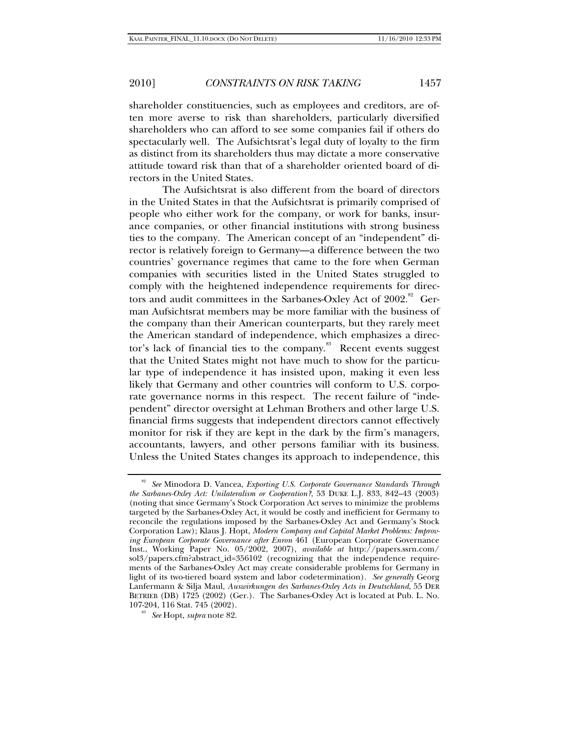shareholder constituencies, such as employees and creditors, are often more averse to risk than shareholders, particularly diversified shareholders who can afford to see some companies fail if others do spectacularly well. The Aufsichtsrat's legal duty of loyalty to the firm as distinct from its shareholders thus may dictate a more conservative attitude toward risk than that of a shareholder oriented board of directors in the United States.

The Aufsichtsrat is also different from the board of directors in the United States in that the Aufsichtsrat is primarily comprised of people who either work for the company, or work for banks, insurance companies, or other financial institutions with strong business ties to the company. The American concept of an "independent" director is relatively foreign to Germany—a difference between the two countries' governance regimes that came to the fore when German companies with securities listed in the United States struggled to comply with the heightened independence requirements for directors and audit committees in the Sarbanes-Oxley Act of  $2002$ .<sup>82</sup> German Aufsichtsrat members may be more familiar with the business of the company than their American counterparts, but they rarely meet the American standard of independence, which emphasizes a director's lack of financial ties to the company. $\frac{83}{10}$  Recent events suggest that the United States might not have much to show for the particular type of independence it has insisted upon, making it even less likely that Germany and other countries will conform to U.S. corporate governance norms in this respect. The recent failure of "independent" director oversight at Lehman Brothers and other large U.S. financial firms suggests that independent directors cannot effectively monitor for risk if they are kept in the dark by the firm's managers, accountants, lawyers, and other persons familiar with its business. Unless the United States changes its approach to independence, this

<sup>82</sup> *See* Minodora D. Vancea, *Exporting U.S. Corporate Governance Standards Through the Sarbanes-Oxley Act: Unilateralism or Cooperation?*, 53 DUKE L.J. 833, 842–43 (2003) (noting that since Germany's Stock Corporation Act serves to minimize the problems targeted by the Sarbanes-Oxley Act, it would be costly and inefficient for Germany to reconcile the regulations imposed by the Sarbanes-Oxley Act and Germany's Stock Corporation Law); Klaus J. Hopt, *Modern Company and Capital Market Problems: Improving European Corporate Governance after Enron* 461 (European Corporate Governance Inst., Working Paper No. 05/2002, 2007), *available at* http://papers.ssrn.com/ sol3/papers.cfm?abstract\_id=356102 (recognizing that the independence requirements of the Sarbanes-Oxley Act may create considerable problems for Germany in light of its two-tiered board system and labor codetermination). *See generally* Georg Lanfermann & Silja Maul, *Auswirkungen des Sarbanes-Oxley Acts in Deutschland*, 55 DER BETRIEB (DB) 1725 (2002) (Ger.). The Sarbanes-Oxley Act is located at Pub. L. No. 107-204, 116 Stat. 745 (2002). 83 *See* Hopt, *supra* note 82.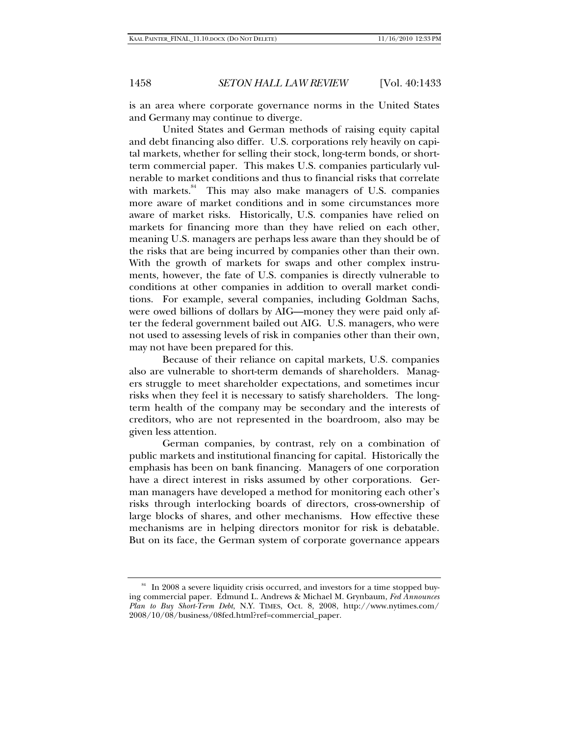is an area where corporate governance norms in the United States and Germany may continue to diverge.

United States and German methods of raising equity capital and debt financing also differ. U.S. corporations rely heavily on capital markets, whether for selling their stock, long-term bonds, or shortterm commercial paper. This makes U.S. companies particularly vulnerable to market conditions and thus to financial risks that correlate with markets. $84$  This may also make managers of U.S. companies more aware of market conditions and in some circumstances more aware of market risks. Historically, U.S. companies have relied on markets for financing more than they have relied on each other, meaning U.S. managers are perhaps less aware than they should be of the risks that are being incurred by companies other than their own. With the growth of markets for swaps and other complex instruments, however, the fate of U.S. companies is directly vulnerable to conditions at other companies in addition to overall market conditions. For example, several companies, including Goldman Sachs, were owed billions of dollars by AIG—money they were paid only after the federal government bailed out AIG. U.S. managers, who were not used to assessing levels of risk in companies other than their own, may not have been prepared for this.

Because of their reliance on capital markets, U.S. companies also are vulnerable to short-term demands of shareholders. Managers struggle to meet shareholder expectations, and sometimes incur risks when they feel it is necessary to satisfy shareholders. The longterm health of the company may be secondary and the interests of creditors, who are not represented in the boardroom, also may be given less attention.

German companies, by contrast, rely on a combination of public markets and institutional financing for capital. Historically the emphasis has been on bank financing. Managers of one corporation have a direct interest in risks assumed by other corporations. German managers have developed a method for monitoring each other's risks through interlocking boards of directors, cross-ownership of large blocks of shares, and other mechanisms. How effective these mechanisms are in helping directors monitor for risk is debatable. But on its face, the German system of corporate governance appears

<sup>&</sup>lt;sup>84</sup> In 2008 a severe liquidity crisis occurred, and investors for a time stopped buying commercial paper. Edmund L. Andrews & Michael M. Grynbaum, *Fed Announces Plan to Buy Short-Term Debt*, N.Y. TIMES, Oct. 8, 2008, http://www.nytimes.com/ 2008/10/08/business/08fed.html?ref=commercial\_paper.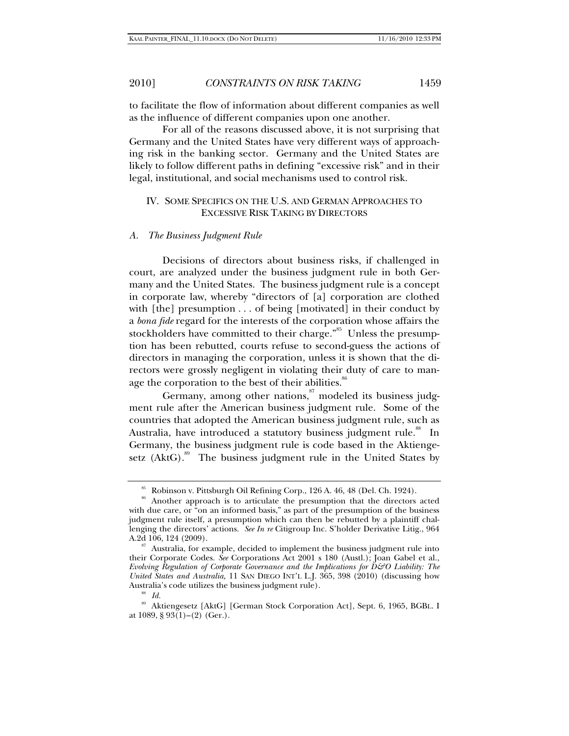to facilitate the flow of information about different companies as well as the influence of different companies upon one another.

For all of the reasons discussed above, it is not surprising that Germany and the United States have very different ways of approaching risk in the banking sector. Germany and the United States are likely to follow different paths in defining "excessive risk" and in their legal, institutional, and social mechanisms used to control risk.

# IV. SOME SPECIFICS ON THE U.S. AND GERMAN APPROACHES TO EXCESSIVE RISK TAKING BY DIRECTORS

### *A. The Business Judgment Rule*

Decisions of directors about business risks, if challenged in court, are analyzed under the business judgment rule in both Germany and the United States. The business judgment rule is a concept in corporate law, whereby "directors of [a] corporation are clothed with [the] presumption . . . of being [motivated] in their conduct by a *bona fide* regard for the interests of the corporation whose affairs the stockholders have committed to their charge."<sup>85</sup> Unless the presumption has been rebutted, courts refuse to second-guess the actions of directors in managing the corporation, unless it is shown that the directors were grossly negligent in violating their duty of care to manage the corporation to the best of their abilities. $\frac{8}{5}$ 

Germany, among other nations, $\frac{87}{10}$  modeled its business judgment rule after the American business judgment rule. Some of the countries that adopted the American business judgment rule, such as Australia, have introduced a statutory business judgment rule.<sup>88</sup> In Germany, the business judgment rule is code based in the Aktiengesetz  $(AktG)$ .<sup>89</sup> The business judgment rule in the United States by

<sup>85</sup> Robinson v. Pittsburgh Oil Refining Corp., 126 A. 46, 48 (Del. Ch. 1924).

<sup>&</sup>lt;sup>86</sup> Another approach is to articulate the presumption that the directors acted with due care, or "on an informed basis," as part of the presumption of the business judgment rule itself, a presumption which can then be rebutted by a plaintiff challenging the directors' actions. *See In re* Citigroup Inc. S'holder Derivative Litig., 964

 $87$  Australia, for example, decided to implement the business judgment rule into their Corporate Codes. *See* Corporations Act 2001 s 180 (Austl.); Joan Gabel et al., *Evolving Regulation of Corporate Governance and the Implications for D&O Liability: The United States and Australia, 11 SAN DIEGO INT'L L.J. 365, 398 (2010)* (discussing how Australia's code utilizes the business judgment rule).

<sup>88</sup> *Id.*

<sup>89</sup> Aktiengesetz [AktG] [German Stock Corporation Act], Sept. 6, 1965, BGBL. I at 1089, § 93(1)–(2) (Ger.).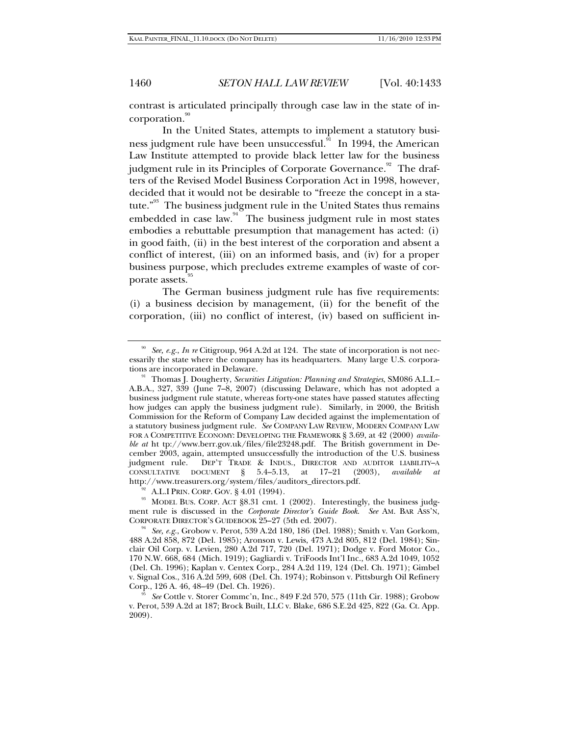contrast is articulated principally through case law in the state of incorporation.

In the United States, attempts to implement a statutory business judgment rule have been unsuccessful.<sup>91</sup> In 1994, the American Law Institute attempted to provide black letter law for the business judgment rule in its Principles of Corporate Governance.<sup>92</sup> The drafters of the Revised Model Business Corporation Act in 1998, however, decided that it would not be desirable to "freeze the concept in a statute."<sup>93</sup> The business judgment rule in the United States thus remains embedded in case law. $94$  The business judgment rule in most states embodies a rebuttable presumption that management has acted: (i) in good faith, (ii) in the best interest of the corporation and absent a conflict of interest, (iii) on an informed basis, and (iv) for a proper business purpose, which precludes extreme examples of waste of corporate assets.

The German business judgment rule has five requirements: (i) a business decision by management, (ii) for the benefit of the corporation, (iii) no conflict of interest, (iv) based on sufficient in-

ment rule is discussed in the *Corporate Director's Guide Book*. *See* AM. BAR ASS'N, CORPORATE DIRECTOR'S GUIDEBOOK 25–27 (5th ed. 2007).

<sup>90</sup> *See, e.g.*, *In re* Citigroup, 964 A.2d at 124. The state of incorporation is not necessarily the state where the company has its headquarters. Many large U.S. corpora-

<sup>&</sup>lt;sup>91</sup> Thomas J. Dougherty, *Securities Litigation: Planning and Strategies*, SM086 A.L.I.– A.B.A., 327, 339 (June 7–8, 2007) (discussing Delaware, which has not adopted a business judgment rule statute, whereas forty-one states have passed statutes affecting how judges can apply the business judgment rule).Similarly, in 2000, the British Commission for the Reform of Company Law decided against the implementation of a statutory business judgment rule. *See* COMPANY LAW REVIEW, MODERN COMPANY LAW FOR A COMPETITIVE ECONOMY: DEVELOPING THE FRAMEWORK § 3.69, at 42 (2000) *available at* ht tp://www.berr.gov.uk/files/file23248.pdf. The British government in December 2003, again, attempted unsuccessfully the introduction of the U.S. business<br>judgment rule. DEP'T TRADE & INDUS., DIRECTOR AND AUDITOR LIABILITY-A DEP'T TRADE & INDUS., DIRECTOR AND AUDITOR LIABILITY-A CONSULTATIVE DOCUMENT § 5.4–5.13, at 17–21 (2003), *available at*  http://www.treasurers.org/system/files/auditors\_directors.pdf.<br><sup>92</sup> A.L.I PRIN. CORP. GOV. § 4.01 (1994).<br><sup>93</sup> MODEL BUS. CORP. ACT §8.31 cmt. 1 (2002). Interestingly, the business judg-

<sup>&</sup>lt;sup>34</sup> See, e.g., Grobow v. Perot, 539 A.2d 180, 186 (Del. 1988); Smith v. Van Gorkom, 488 A.2d 858, 872 (Del. 1985); Aronson v. Lewis, 473 A.2d 805, 812 (Del. 1984); Sinclair Oil Corp. v. Levien, 280 A.2d 717, 720 (Del. 1971); Dodge v. Ford Motor Co., 170 N.W. 668, 684 (Mich. 1919); Gagliardi v. TriFoods Int'l Inc., 683 A.2d 1049, 1052 (Del. Ch. 1996); Kaplan v. Centex Corp., 284 A.2d 119, 124 (Del. Ch. 1971); Gimbel v. Signal Cos., 316 A.2d 599, 608 (Del. Ch. 1974); Robinson v. Pittsburgh Oil Refinery

See Cottle v. Storer Commc'n, Inc., 849 F.2d 570, 575 (11th Cir. 1988); Grobow v. Perot, 539 A.2d at 187; Brock Built, LLC v. Blake, 686 S.E.2d 425, 822 (Ga. Ct. App. 2009).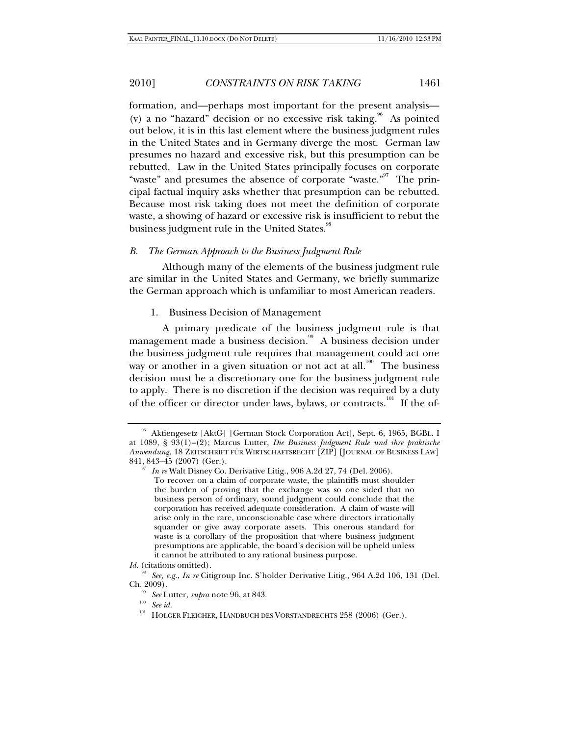formation, and—perhaps most important for the present analysis— (v) a no "hazard" decision or no excessive risk taking.<sup>96</sup> As pointed out below, it is in this last element where the business judgment rules in the United States and in Germany diverge the most. German law presumes no hazard and excessive risk, but this presumption can be rebutted. Law in the United States principally focuses on corporate "waste" and presumes the absence of corporate "waste." The principal factual inquiry asks whether that presumption can be rebutted. Because most risk taking does not meet the definition of corporate waste, a showing of hazard or excessive risk is insufficient to rebut the business judgment rule in the United States.<sup>98</sup>

#### *B. The German Approach to the Business Judgment Rule*

Although many of the elements of the business judgment rule are similar in the United States and Germany, we briefly summarize the German approach which is unfamiliar to most American readers.

1. Business Decision of Management

A primary predicate of the business judgment rule is that management made a business decision.<sup>99</sup> A business decision under the business judgment rule requires that management could act one way or another in a given situation or not act at all.<sup>100</sup> The business decision must be a discretionary one for the business judgment rule to apply. There is no discretion if the decision was required by a duty of the officer or director under laws, bylaws, or contracts.<sup>101</sup> If the of-

<sup>96</sup> Aktiengesetz [AktG] [German Stock Corporation Act], Sept. 6, 1965, BGBL. I at 1089, § 93(1)–(2); Marcus Lutter, *Die Business Judgment Rule und ihre praktische Anwendung*, 18 ZEITSCHRIFT FÜR WIRTSCHAFTSRECHT [ZIP] [JOURNAL OF BUSINESS LAW]

<sup>&</sup>lt;sup>37</sup> In re Walt Disney Co. Derivative Litig., 906 A.2d 27, 74 (Del. 2006).

To recover on a claim of corporate waste, the plaintiffs must shoulder the burden of proving that the exchange was so one sided that no business person of ordinary, sound judgment could conclude that the corporation has received adequate consideration. A claim of waste will arise only in the rare, unconscionable case where directors irrationally squander or give away corporate assets. This onerous standard for waste is a corollary of the proposition that where business judgment presumptions are applicable, the board's decision will be upheld unless it cannot be attributed to any rational business purpose.

*Id.* (citations omitted).

<sup>98</sup> *See, e.g.*, *In re* Citigroup Inc. S'holder Derivative Litig., 964 A.2d 106, 131 (Del. Ch. 2009). 99 *See* Lutter, *supra* note 96, at 843. 100 *See id.* 

 $^{101}\,$  HOLGER FLEICHER, HANDBUCH DES VORSTANDRECHTS 258 (2006) (Ger.).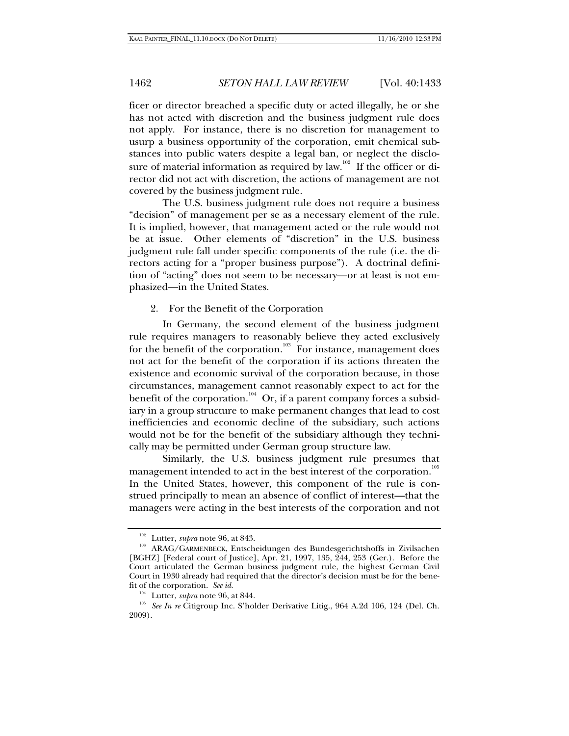ficer or director breached a specific duty or acted illegally, he or she has not acted with discretion and the business judgment rule does not apply. For instance, there is no discretion for management to usurp a business opportunity of the corporation, emit chemical substances into public waters despite a legal ban, or neglect the disclosure of material information as required by law.<sup>102</sup> If the officer or director did not act with discretion, the actions of management are not covered by the business judgment rule.

The U.S. business judgment rule does not require a business "decision" of management per se as a necessary element of the rule. It is implied, however, that management acted or the rule would not be at issue. Other elements of "discretion" in the U.S. business judgment rule fall under specific components of the rule (i.e. the directors acting for a "proper business purpose"). A doctrinal definition of "acting" does not seem to be necessary—or at least is not emphasized—in the United States.

### 2. For the Benefit of the Corporation

In Germany, the second element of the business judgment rule requires managers to reasonably believe they acted exclusively for the benefit of the corporation.<sup>103</sup> For instance, management does not act for the benefit of the corporation if its actions threaten the existence and economic survival of the corporation because, in those circumstances, management cannot reasonably expect to act for the benefit of the corporation.<sup>104</sup> Or, if a parent company forces a subsidiary in a group structure to make permanent changes that lead to cost inefficiencies and economic decline of the subsidiary, such actions would not be for the benefit of the subsidiary although they technically may be permitted under German group structure law.

Similarly, the U.S. business judgment rule presumes that management intended to act in the best interest of the corporation. $^{105}_{\phantom{1}05}$ In the United States, however, this component of the rule is construed principally to mean an absence of conflict of interest—that the managers were acting in the best interests of the corporation and not

 $^{102}$  Lutter, *supra* note 96, at 843. <br> $^{103}$  ARAG/GARMENBECK, Entscheidungen des Bundesgerichtshoffs in Zivilsachen [BGHZ] [Federal court of Justice], Apr. 21, 1997, 135, 244, 253 (Ger.). Before the Court articulated the German business judgment rule, the highest German Civil Court in 1930 already had required that the director's decision must be for the benefit of the corporation. *See id.*

<sup>&</sup>lt;sup>104</sup> Lutter, *supra* note 96, at 844.<br><sup>105</sup> See In re Citigroup Inc. S'holder Derivative Litig., 964 A.2d 106, 124 (Del. Ch. 2009).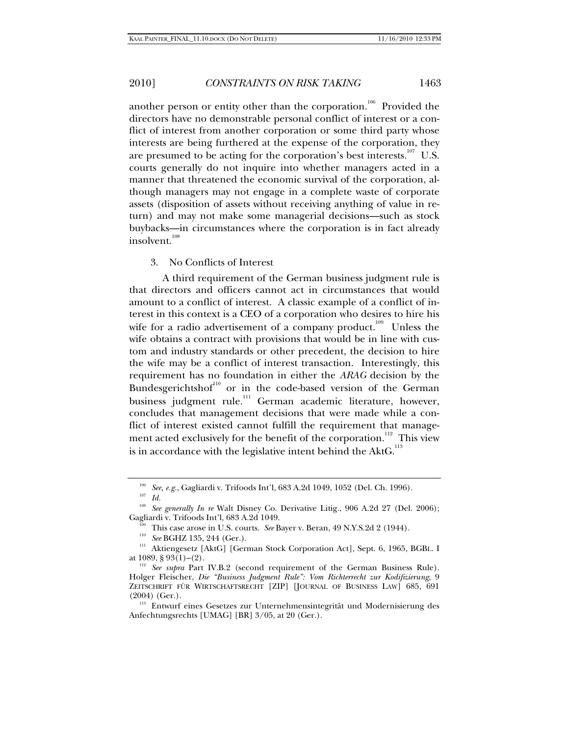another person or entity other than the corporation.<sup>106</sup> Provided the directors have no demonstrable personal conflict of interest or a conflict of interest from another corporation or some third party whose interests are being furthered at the expense of the corporation, they are presumed to be acting for the corporation's best interests.<sup>107</sup> U.S. courts generally do not inquire into whether managers acted in a manner that threatened the economic survival of the corporation, although managers may not engage in a complete waste of corporate assets (disposition of assets without receiving anything of value in return) and may not make some managerial decisions—such as stock buybacks—in circumstances where the corporation is in fact already insolvent.<sup>108</sup>

#### 3. No Conflicts of Interest

A third requirement of the German business judgment rule is that directors and officers cannot act in circumstances that would amount to a conflict of interest. A classic example of a conflict of interest in this context is a CEO of a corporation who desires to hire his wife for a radio advertisement of a company product.<sup>109</sup> Unless the wife obtains a contract with provisions that would be in line with custom and industry standards or other precedent, the decision to hire the wife may be a conflict of interest transaction. Interestingly, this requirement has no foundation in either the *ARAG* decision by the Bundesgerichtshof<sup>110</sup> or in the code-based version of the German business judgment rule.<sup>111</sup> German academic literature, however, concludes that management decisions that were made while a conflict of interest existed cannot fulfill the requirement that management acted exclusively for the benefit of the corporation.<sup>112</sup> This view is in accordance with the legislative intent behind the AktG.<sup>113</sup>

<sup>&</sup>lt;sup>106</sup> *See, e.g.*, Gagliardi v. Trifoods Int'l, 683 A.2d 1049, 1052 (Del. Ch. 1996).<br><sup>107</sup> *Id* 

<sup>&</sup>lt;sup>108</sup> See generally In re Walt Disney Co. Derivative Litig., 906 A.2d 27 (Del. 2006); Gagliardi v. Trifoods Int'l, 683 A.2d 1049.

<sup>&</sup>lt;sup>109</sup> This case arose in U.S. courts. *See* Bayer v. Beran, 49 N.Y.S.2d 2 (1944).<br><sup>110</sup> *See* BGHZ 135, 244 (Ger.).<br><sup>111</sup> Aktiengesetz [AktG] [German Stock Corporation Act], Sept. 6, 1965, BGBL. I at 1089, § 93(1)–(2). 112 *See supra* Part IV.B.2 (second requirement of the German Business Rule).

Holger Fleischer, *Die "Business Judgment Rule": Vom Richterrecht zur Kodifizierung*, 9 ZEITSCHRIFT FÜR WIRTSCHAFTSRECHT [ZIP] [JOURNAL OF BUSINESS LAW] 685, 691 (2004) (Ger.). 113 Entwurf eines Gesetzes zur Unternehmensintegrität und Modernisierung des

Anfechtungsrechts [UMAG] [BR] 3/05, at 20 (Ger.).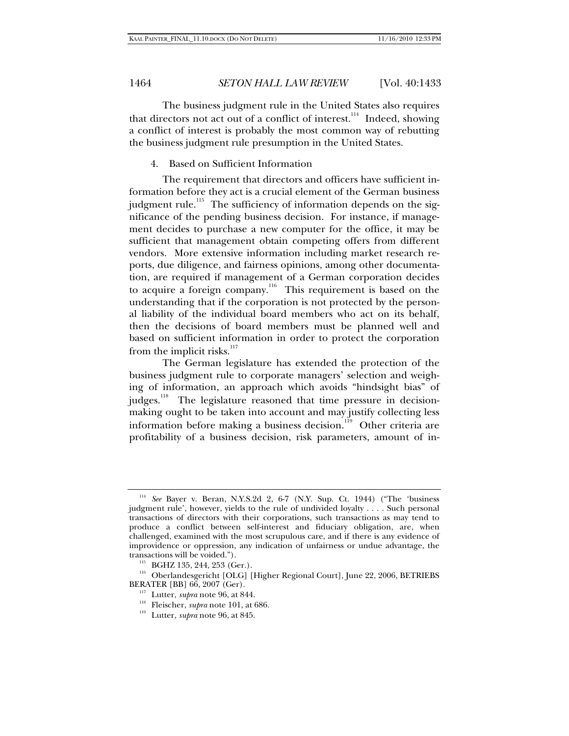The business judgment rule in the United States also requires that directors not act out of a conflict of interest.<sup>114</sup> Indeed, showing a conflict of interest is probably the most common way of rebutting the business judgment rule presumption in the United States.

### 4. Based on Sufficient Information

The requirement that directors and officers have sufficient information before they act is a crucial element of the German business iudgment rule.<sup>115</sup> The sufficiency of information depends on the significance of the pending business decision. For instance, if management decides to purchase a new computer for the office, it may be sufficient that management obtain competing offers from different vendors. More extensive information including market research reports, due diligence, and fairness opinions, among other documentation, are required if management of a German corporation decides to acquire a foreign company.<sup>116</sup> This requirement is based on the understanding that if the corporation is not protected by the personal liability of the individual board members who act on its behalf, then the decisions of board members must be planned well and based on sufficient information in order to protect the corporation from the implicit risks. $117$ 

The German legislature has extended the protection of the business judgment rule to corporate managers' selection and weighing of information, an approach which avoids "hindsight bias" of judges.<sup>118</sup> The legislature reasoned that time pressure in decisionmaking ought to be taken into account and may justify collecting less information before making a business decision.<sup>119</sup> Other criteria are profitability of a business decision, risk parameters, amount of in-

<sup>114</sup> *See* Bayer v. Beran, N.Y.S.2d 2, 6-7 (N.Y. Sup. Ct. 1944) ("The 'business judgment rule', however, yields to the rule of undivided loyalty . . . . Such personal transactions of directors with their corporations, such transactions as may tend to produce a conflict between self-interest and fiduciary obligation, are, when challenged, examined with the most scrupulous care, and if there is any evidence of improvidence or oppression, any indication of unfairness or undue advantage, the

<sup>&</sup>lt;sup>115</sup> BGHZ 135, 244, 253 (Ger.).  $^{116}$  Oberlandesgericht [OLG] [Higher Regional Court], June 22, 2006, BETRIEBS BERATER [BB] 66, 2007 (Ger).

<sup>&</sup>lt;sup>117</sup> Lutter, *supra* note 96, at 844.<br><sup>118</sup> Fleischer, *supra* note 101, at 686.<br><sup>119</sup> Lutter, *supra* note 96, at 845.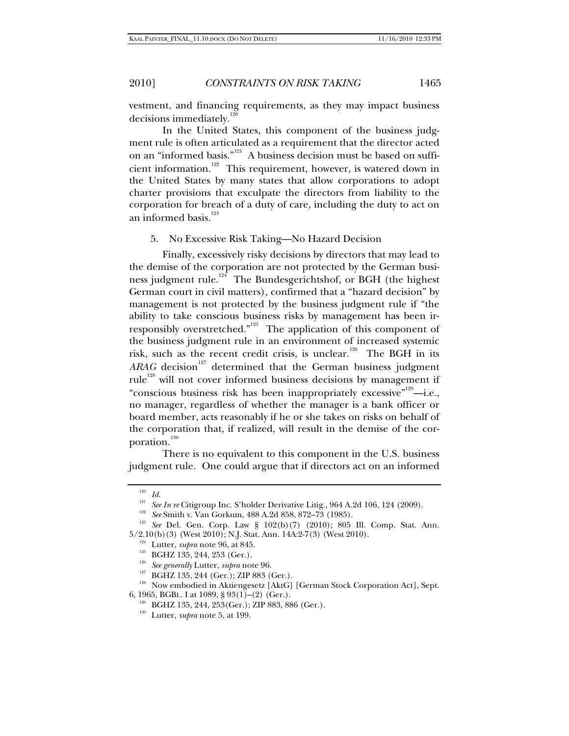vestment, and financing requirements, as they may impact business decisions immediately.<sup>1</sup>

In the United States, this component of the business judgment rule is often articulated as a requirement that the director acted on an "informed basis."121 A business decision must be based on sufficient information.<sup>122</sup> This requirement, however, is watered down in the United States by many states that allow corporations to adopt charter provisions that exculpate the directors from liability to the corporation for breach of a duty of care, including the duty to act on an informed basis.<sup>123</sup>

5. No Excessive Risk Taking—No Hazard Decision

Finally, excessively risky decisions by directors that may lead to the demise of the corporation are not protected by the German business judgment rule.<sup>124</sup> The Bundesgerichtshof, or BGH (the highest German court in civil matters), confirmed that a "hazard decision" by management is not protected by the business judgment rule if "the ability to take conscious business risks by management has been irresponsibly overstretched."<sup>125</sup> The application of this component of the business judgment rule in an environment of increased systemic risk, such as the recent credit crisis, is unclear.<sup>126</sup> The BGH in its  $ARAG$  decision<sup>127</sup> determined that the German business judgment rule<sup>128</sup> will not cover informed business decisions by management if "conscious business risk has been inappropriately excessive"<sup>129</sup>—i.e., no manager, regardless of whether the manager is a bank officer or board member, acts reasonably if he or she takes on risks on behalf of the corporation that, if realized, will result in the demise of the corporation.<sup>130</sup>

There is no equivalent to this component in the U.S. business judgment rule. One could argue that if directors act on an informed

<sup>120</sup> *Id.*

<sup>&</sup>lt;sup>122</sup> See Smith v. Van Gorkum, 488 A.2d 858, 872–73 (1985).<br><sup>123</sup> See Del. Gen. Corp. Law § 102(b)(7) (2010); 805 Ill. Comp. Stat. Ann.

<sup>5/2.10(</sup>b) (3) (West 2010); N.J. Stat. Ann. 14A:2-7(3) (West 2010).<br>
<sup>124</sup> Lutter, *supra* note 96, at 845.<br>
<sup>125</sup> BGHZ 135, 244, 253 (Ger.).<br>
<sup>126</sup> BGHZ 135, 244 (Ger.); ZIP 883 (Ger.).<br>
<sup>127</sup> BGHZ 135, 244 (Ger.); ZIP 88

<sup>&</sup>lt;sup>129</sup> BGHZ 135, 244, 253(Ger.); ZIP 883, 886 (Ger.).<br><sup>130</sup> Lutter, *supra* note 5, at 199.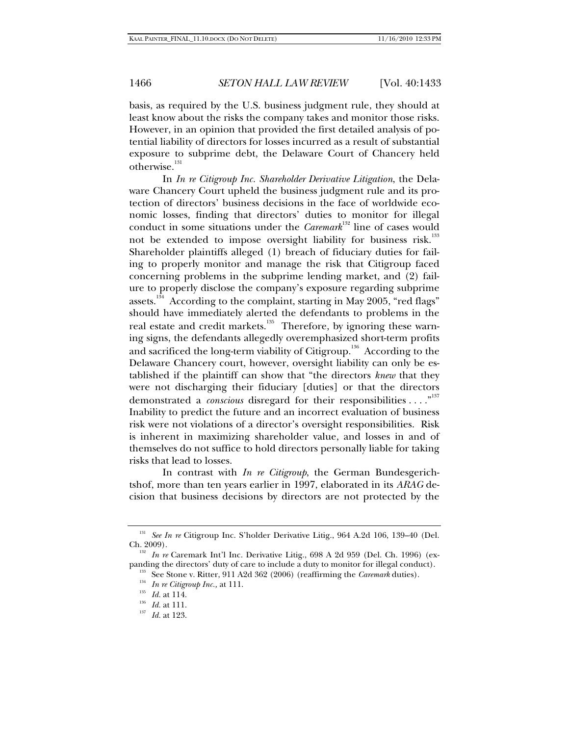basis, as required by the U.S. business judgment rule, they should at least know about the risks the company takes and monitor those risks. However, in an opinion that provided the first detailed analysis of potential liability of directors for losses incurred as a result of substantial exposure to subprime debt, the Delaware Court of Chancery held otherwise.<sup>131</sup>

In *In re Citigroup Inc. Shareholder Derivative Litigation*, the Delaware Chancery Court upheld the business judgment rule and its protection of directors' business decisions in the face of worldwide economic losses, finding that directors' duties to monitor for illegal conduct in some situations under the *Caremark*<sup>132</sup> line of cases would not be extended to impose oversight liability for business risk.<sup>133</sup> Shareholder plaintiffs alleged (1) breach of fiduciary duties for failing to properly monitor and manage the risk that Citigroup faced concerning problems in the subprime lending market, and (2) failure to properly disclose the company's exposure regarding subprime assets.<sup>134</sup> According to the complaint, starting in May 2005, "red flags" should have immediately alerted the defendants to problems in the real estate and credit markets.<sup>135</sup> Therefore, by ignoring these warning signs, the defendants allegedly overemphasized short-term profits and sacrificed the long-term viability of Citigroup.<sup>136</sup> According to the Delaware Chancery court, however, oversight liability can only be established if the plaintiff can show that "the directors *knew* that they were not discharging their fiduciary [duties] or that the directors demonstrated a *conscious* disregard for their responsibilities . . . ."137 Inability to predict the future and an incorrect evaluation of business risk were not violations of a director's oversight responsibilities. Risk is inherent in maximizing shareholder value, and losses in and of themselves do not suffice to hold directors personally liable for taking risks that lead to losses.

In contrast with *In re Citigroup*, the German Bundesgerichtshof, more than ten years earlier in 1997, elaborated in its *ARAG* decision that business decisions by directors are not protected by the

<sup>&</sup>lt;sup>131</sup> See In re Citigroup Inc. S'holder Derivative Litig., 964 A.2d 106, 139-40 (Del.

Ch. 2009).<br><sup>132</sup> *In re* Caremark Int'l Inc. Derivative Litig., 698 A 2d 959 (Del. Ch. 1996) (ex-<br>panding the directors' duty of care to include a duty to monitor for illegal conduct).

<sup>&</sup>lt;sup>133</sup> See Stone v. Ritter, 911 A2d 362 (2006) (reaffirming the *Caremark* duties).<br><sup>134</sup> In re Citigroup Inc., at 111.<br><sup>135</sup> Id. at 114.<br><sup>135</sup> Id. at 111.<br>Id. at 111.<br>Id. at 123.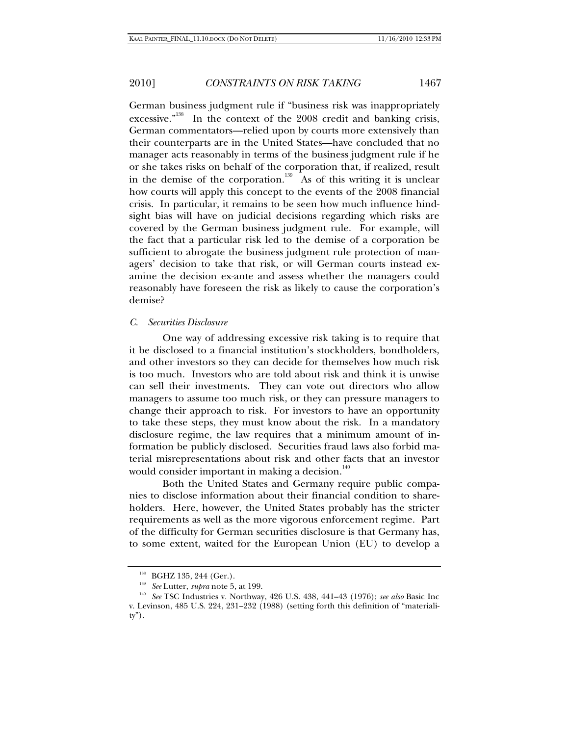German business judgment rule if "business risk was inappropriately excessive."<sup>138</sup> In the context of the 2008 credit and banking crisis, German commentators—relied upon by courts more extensively than their counterparts are in the United States—have concluded that no manager acts reasonably in terms of the business judgment rule if he or she takes risks on behalf of the corporation that, if realized, result in the demise of the corporation.<sup>139</sup> As of this writing it is unclear how courts will apply this concept to the events of the 2008 financial crisis. In particular, it remains to be seen how much influence hindsight bias will have on judicial decisions regarding which risks are covered by the German business judgment rule. For example, will the fact that a particular risk led to the demise of a corporation be sufficient to abrogate the business judgment rule protection of managers' decision to take that risk, or will German courts instead examine the decision ex-ante and assess whether the managers could reasonably have foreseen the risk as likely to cause the corporation's demise?

### *C. Securities Disclosure*

One way of addressing excessive risk taking is to require that it be disclosed to a financial institution's stockholders, bondholders, and other investors so they can decide for themselves how much risk is too much. Investors who are told about risk and think it is unwise can sell their investments. They can vote out directors who allow managers to assume too much risk, or they can pressure managers to change their approach to risk. For investors to have an opportunity to take these steps, they must know about the risk. In a mandatory disclosure regime, the law requires that a minimum amount of information be publicly disclosed. Securities fraud laws also forbid material misrepresentations about risk and other facts that an investor would consider important in making a decision. $140$ 

Both the United States and Germany require public companies to disclose information about their financial condition to shareholders. Here, however, the United States probably has the stricter requirements as well as the more vigorous enforcement regime. Part of the difficulty for German securities disclosure is that Germany has, to some extent, waited for the European Union (EU) to develop a

<sup>&</sup>lt;sup>138</sup> BGHZ 135, 244 (Ger.).<br><sup>139</sup> *See* Lutter, *supra* note 5, at 199.<br><sup>140</sup> *See* TSC Industries v. Northway, 426 U.S. 438, 441–43 (1976); *see also* Basic Inc v. Levinson, 485 U.S. 224, 231–232 (1988) (setting forth this definition of "materiality").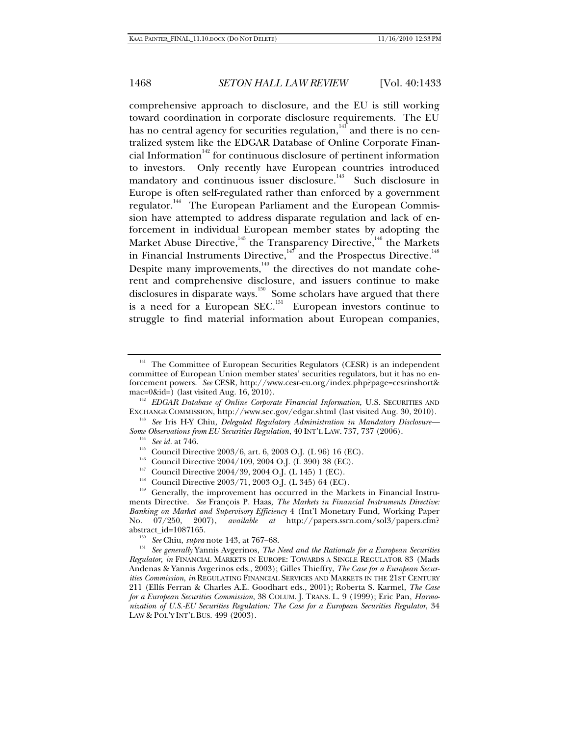comprehensive approach to disclosure, and the EU is still working toward coordination in corporate disclosure requirements. The EU has no central agency for securities regulation, $141$  and there is no centralized system like the EDGAR Database of Online Corporate Financial Information $142$  for continuous disclosure of pertinent information to investors. Only recently have European countries introduced mandatory and continuous issuer disclosure.<sup>143</sup> Such disclosure in Europe is often self-regulated rather than enforced by a government regulator.<sup>144</sup> The European Parliament and the European Commission have attempted to address disparate regulation and lack of enforcement in individual European member states by adopting the Market Abuse Directive, $^{^{145}}$  the Transparency Directive, $^{^{146}}$  the Markets in Financial Instruments Directive, $147$  and the Prospectus Directive.<sup>148</sup> Despite many improvements, $149$  the directives do not mandate coherent and comprehensive disclosure, and issuers continue to make disclosures in disparate ways.<sup>150</sup> Some scholars have argued that there is a need for a European SEC. $^{151}$  European investors continue to struggle to find material information about European companies,

Some Observations from EU Securities Regulation, 40 INT'L LAW. 737, 737 (2006).<br>
<sup>144</sup> See id. at 746.<br>
Council Directive 2003/6, art. 6, 2003 O.J. (L 96) 16 (EC).<br>
<sup>145</sup> Council Directive 2004/109, 2004 O.J. (L 390) 38 (

- 
- 

The Committee of European Securities Regulators (CESR) is an independent committee of European Union member states' securities regulators, but it has no enforcement powers. *See* CESR, http://www.cesr-eu.org/index.php?page=cesrinshort& mac=0&id=) (last visited Aug. 16, 2010).<br><sup>142</sup> *EDGAR Database of Online Corporate Financial Information*, U.S. SECURITIES AND

EXCHANGE COMMISSION, http://www.sec.gov/edgar.shtml (last visited Aug. 30, 2010). 143 *See* Iris H-Y Chiu, *Delegated Regulatory Administration in Mandatory Disclosure—*

ments Directive. *See* François P. Haas, *The Markets in Financial Instruments Directive: Banking on Market and Supervisory Efficiency* 4 (Int'l Monetary Fund, Working Paper No. 07/250, 2007), *available at* http://papers.ssrn.com/sol3/papers.cfm?

<sup>&</sup>lt;sup>150</sup> See Chiu, *supra* note 143, at 767–68. 151<sup>5</sup> See generally Yannis Avgerinos, *The Need and the Rationale for a European Securities Regulator*, *in* FINANCIAL MARKETS IN EUROPE: TOWARDS A SINGLE REGULATOR 83 (Mads Andenas & Yannis Avgerinos eds., 2003); Gilles Thieffry, *The Case for a European Securities Commission*, *in* REGULATING FINANCIAL SERVICES AND MARKETS IN THE 21ST CENTURY 211 (Ellís Ferran & Charles A.E. Goodhart eds., 2001); Roberta S. Karmel, *The Case for a European Securities Commission*, 38 COLUM. J. TRANS. L. 9 (1999); Eric Pan, *Harmonization of U.S.-EU Securities Regulation: The Case for a European Securities Regulator*, 34 LAW & POL'Y INT'L BUS. 499 (2003).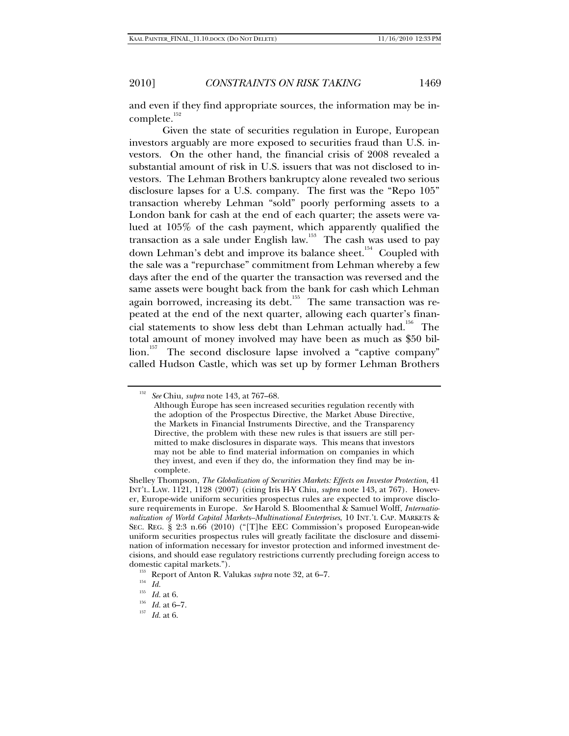and even if they find appropriate sources, the information may be incomplete.<sup>152</sup>

Given the state of securities regulation in Europe, European investors arguably are more exposed to securities fraud than U.S. investors. On the other hand, the financial crisis of 2008 revealed a substantial amount of risk in U.S. issuers that was not disclosed to investors. The Lehman Brothers bankruptcy alone revealed two serious disclosure lapses for a U.S. company. The first was the "Repo 105" transaction whereby Lehman "sold" poorly performing assets to a London bank for cash at the end of each quarter; the assets were valued at 105% of the cash payment, which apparently qualified the transaction as a sale under English law.<sup>153</sup> The cash was used to pay down Lehman's debt and improve its balance sheet.<sup>154</sup> Coupled with the sale was a "repurchase" commitment from Lehman whereby a few days after the end of the quarter the transaction was reversed and the same assets were bought back from the bank for cash which Lehman again borrowed, increasing its debt.<sup>155</sup> The same transaction was repeated at the end of the next quarter, allowing each quarter's financial statements to show less debt than Lehman actually had.<sup>156</sup> The total amount of money involved may have been as much as \$50 billion.<sup>157</sup> The second disclosure lapse involved a "captive company" called Hudson Castle, which was set up by former Lehman Brothers

<sup>152</sup> *See* Chiu, *supra* note 143, at 767–68.

Although Europe has seen increased securities regulation recently with the adoption of the Prospectus Directive, the Market Abuse Directive, the Markets in Financial Instruments Directive, and the Transparency Directive, the problem with these new rules is that issuers are still permitted to make disclosures in disparate ways. This means that investors may not be able to find material information on companies in which they invest, and even if they do, the information they find may be incomplete.

Shelley Thompson, *The Globalization of Securities Markets: Effects on Investor Protection*, 41 INT'L. LAW. 1121, 1128 (2007) (citing Iris H-Y Chiu, *supra* note 143, at 767). However, Europe-wide uniform securities prospectus rules are expected to improve disclosure requirements in Europe. *See* Harold S. Bloomenthal & Samuel Wolff, *Internationalization of World Capital Markets–Multinational Enterprises*, 10 INT.'L CAP. MARKETS & SEC. REG. § 2:3 n.66 (2010) ("[T]he EEC Commission's proposed European-wide uniform securities prospectus rules will greatly facilitate the disclosure and dissemination of information necessary for investor protection and informed investment decisions, and should ease regulatory restrictions currently precluding foreign access to domestic capital markets.").<br><sup>153</sup> Report of Anton R. Valukas *supra* note 32, at 6–7.<br><sup>155</sup> *Id.* at 6.

<sup>155</sup> *Id.* at 6. 156 *Id.* at 6–7. 157 *Id.* at 6.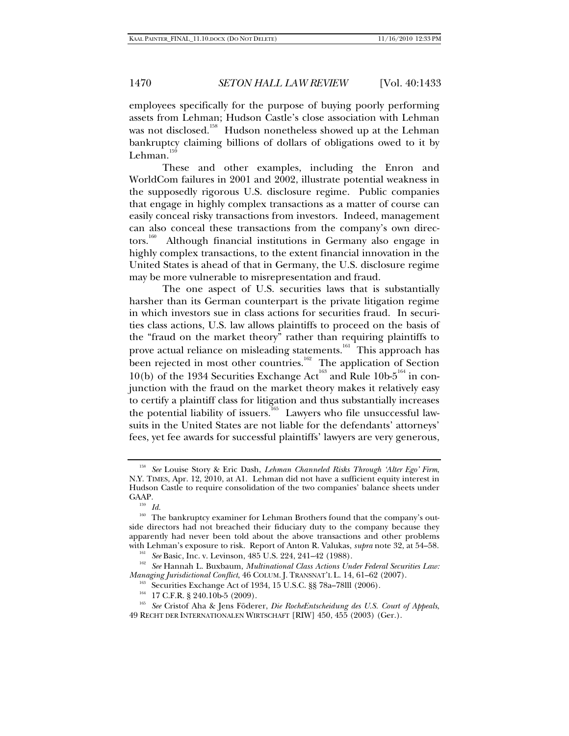employees specifically for the purpose of buying poorly performing assets from Lehman; Hudson Castle's close association with Lehman was not disclosed.<sup>158</sup> Hudson nonetheless showed up at the Lehman bankruptcy claiming billions of dollars of obligations owed to it by Lehman. $15$ 

These and other examples, including the Enron and WorldCom failures in 2001 and 2002, illustrate potential weakness in the supposedly rigorous U.S. disclosure regime. Public companies that engage in highly complex transactions as a matter of course can easily conceal risky transactions from investors. Indeed, management can also conceal these transactions from the company's own directors.<sup>160</sup> Although financial institutions in Germany also engage in highly complex transactions, to the extent financial innovation in the United States is ahead of that in Germany, the U.S. disclosure regime may be more vulnerable to misrepresentation and fraud.

The one aspect of U.S. securities laws that is substantially harsher than its German counterpart is the private litigation regime in which investors sue in class actions for securities fraud. In securities class actions, U.S. law allows plaintiffs to proceed on the basis of the "fraud on the market theory" rather than requiring plaintiffs to prove actual reliance on misleading statements.<sup>161</sup> This approach has been rejected in most other countries.<sup>162</sup> The application of Section 10(b) of the 1934 Securities Exchange Act<sup>163</sup> and Rule 10b- $5^{164}$  in conjunction with the fraud on the market theory makes it relatively easy to certify a plaintiff class for litigation and thus substantially increases the potential liability of issuers.<sup>165</sup> Lawyers who file unsuccessful lawsuits in the United States are not liable for the defendants' attorneys' fees, yet fee awards for successful plaintiffs' lawyers are very generous,

<sup>158</sup> *See* Louise Story & Eric Dash, *Lehman Channeled Risks Through 'Alter Ego' Firm*, N.Y. TIMES, Apr. 12, 2010, at A1. Lehman did not have a sufficient equity interest in Hudson Castle to require consolidation of the two companies' balance sheets under GAAP.<br> $\frac{159}{16}$  *Id.* 

<sup>&</sup>lt;sup>160</sup> The bankruptcy examiner for Lehman Brothers found that the company's outside directors had not breached their fiduciary duty to the company because they apparently had never been told about the above transactions and other problems<br>with Lehman's exposure to risk. Report of Anton R. Valukas, *supra* note 32, at 54–58.

<sup>&</sup>lt;sup>161</sup> See Basic, Inc. v. Levinson, 485 U.S. 224, 241–42 (1988).<br><sup>162</sup> See Hannah L. Buxbaum, *Multinational Class Actions Under Federal Securities Law:*<br>*Managing Jurisdictional Conflict*, 46 COLUM. J. TRANSNAT'L L. 14, 6

<sup>&</sup>lt;sup>163</sup> Securities Exchange Act of 1934, 15 U.S.C. §§ 78a–78lll (2006).<br><sup>164</sup> 17 C.F.R. § 240.10b-5 (2009).<br><sup>165</sup> *See* Cristof Aha & Jens Föderer, *Die RocheEntscheidung des U.S. Court of Appeals*, 49 RECHT DER INTERNATIONALEN WIRTSCHAFT [RIW] 450, 455 (2003) (Ger.).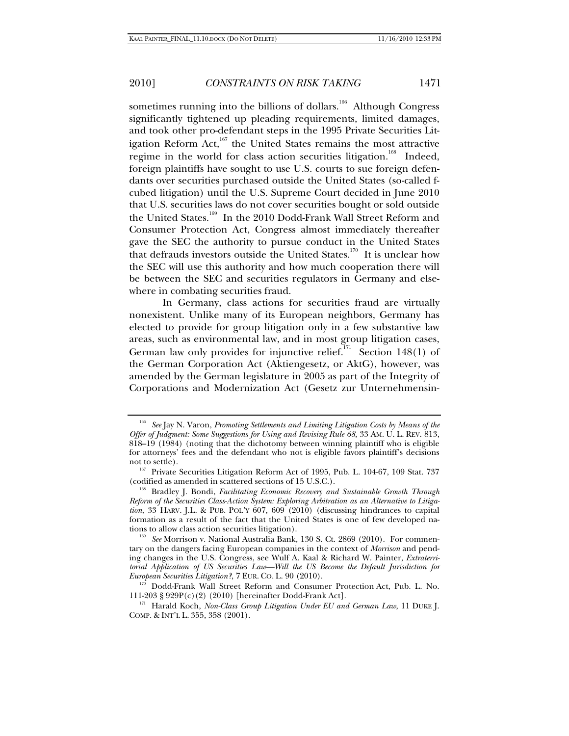sometimes running into the billions of dollars.<sup>166</sup> Although Congress significantly tightened up pleading requirements, limited damages, and took other pro-defendant steps in the 1995 Private Securities Litigation Reform Act, $167$  the United States remains the most attractive regime in the world for class action securities litigation.<sup>168</sup> Indeed, foreign plaintiffs have sought to use U.S. courts to sue foreign defendants over securities purchased outside the United States (so-called fcubed litigation) until the U.S. Supreme Court decided in June 2010 that U.S. securities laws do not cover securities bought or sold outside the United States.<sup>169</sup> In the 2010 Dodd-Frank Wall Street Reform and Consumer Protection Act, Congress almost immediately thereafter gave the SEC the authority to pursue conduct in the United States that defrauds investors outside the United States.<sup>170</sup> It is unclear how the SEC will use this authority and how much cooperation there will be between the SEC and securities regulators in Germany and elsewhere in combating securities fraud.

In Germany, class actions for securities fraud are virtually nonexistent. Unlike many of its European neighbors, Germany has elected to provide for group litigation only in a few substantive law areas, such as environmental law, and in most group litigation cases, German law only provides for injunctive relief.<sup>171</sup> Section 148(1) of the German Corporation Act (Aktiengesetz, or AktG), however, was amended by the German legislature in 2005 as part of the Integrity of Corporations and Modernization Act (Gesetz zur Unternehmensin-

<sup>166</sup> *See* Jay N. Varon, *Promoting Settlements and Limiting Litigation Costs by Means of the Offer of Judgment: Some Suggestions for Using and Revising Rule 68*, 33 AM. U. L. REV. 813, 818–19 (1984) (noting that the dichotomy between winning plaintiff who is eligible for attorneys' fees and the defendant who not is eligible favors plaintiff's decisions

not to settle).<br><sup>167</sup> Private Securities Litigation Reform Act of 1995, Pub. L. 104-67, 109 Stat. 737 (codified as amended in scattered sections of 15 U.S.C.). 168 Bradley J. Bondi, *Facilitating Economic Recovery and Sustainable Growth Through* 

*Reform of the Securities Class-Action System: Exploring Arbitration as an Alternative to Litigation*, 33 HARV. J.L. & PUB. POL'Y 607, 609 (2010) (discussing hindrances to capital formation as a result of the fact that the United States is one of few developed na-

tions to allow class action securities litigation). 169 *See* Morrison v. National Australia Bank, 130 S. Ct. 2869 (2010). For commentary on the dangers facing European companies in the context of *Morrison* and pending changes in the U.S. Congress, see Wulf A. Kaal & Richard W. Painter, *Extraterritorial Application of US Securities Law—Will the US Become the Default Jurisdiction for* 

*European Dodd-Frank Wall Street Reform and Consumer Protection Act, Pub. L. No.* 111-203 § 929P(c)(2) (2010) [hereinafter Dodd-Frank Act]. 171 Harald Koch, *Non-Class Group Litigation Under EU and German Law*, 11 DUKE J.

COMP. & INT'L L. 355, 358 (2001).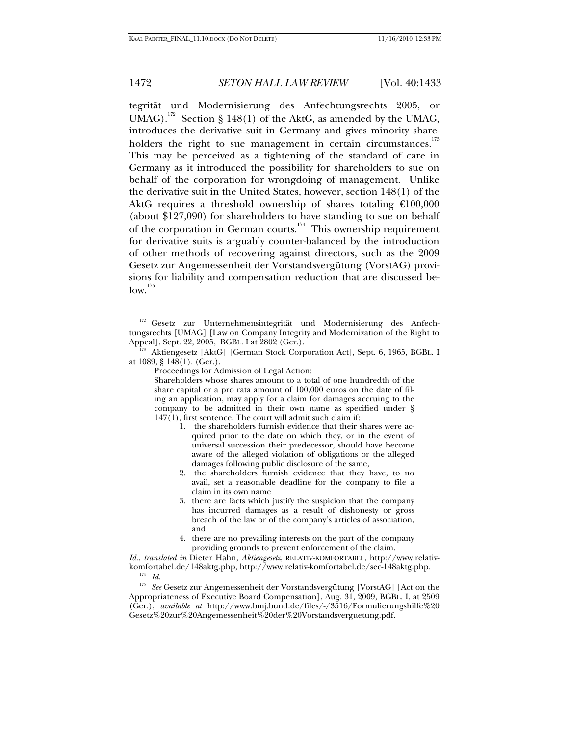tegrität und Modernisierung des Anfechtungsrechts 2005, or UMAG).<sup>172</sup> Section § 148(1) of the AktG, as amended by the UMAG, introduces the derivative suit in Germany and gives minority shareholders the right to sue management in certain circumstances.<sup>173</sup> This may be perceived as a tightening of the standard of care in Germany as it introduced the possibility for shareholders to sue on behalf of the corporation for wrongdoing of management. Unlike the derivative suit in the United States, however, section 148(1) of the AktG requires a threshold ownership of shares totaling  $\epsilon 100,000$ (about \$127,090) for shareholders to have standing to sue on behalf of the corporation in German courts.<sup>174</sup> This ownership requirement for derivative suits is arguably counter-balanced by the introduction of other methods of recovering against directors, such as the 2009 Gesetz zur Angemessenheit der Vorstandsvergütung (VorstAG) provisions for liability and compensation reduction that are discussed be $low.<sup>175</sup>$ 

Proceedings for Admission of Legal Action:

Shareholders whose shares amount to a total of one hundredth of the share capital or a pro rata amount of 100,000 euros on the date of filing an application, may apply for a claim for damages accruing to the company to be admitted in their own name as specified under § 147(1), first sentence. The court will admit such claim if:

- 1. the shareholders furnish evidence that their shares were acquired prior to the date on which they, or in the event of universal succession their predecessor, should have become aware of the alleged violation of obligations or the alleged damages following public disclosure of the same,
- 2. the shareholders furnish evidence that they have, to no avail, set a reasonable deadline for the company to file a claim in its own name
- 3. there are facts which justify the suspicion that the company has incurred damages as a result of dishonesty or gross breach of the law or of the company's articles of association, and
- 4. there are no prevailing interests on the part of the company providing grounds to prevent enforcement of the claim.

*Id.*, *translated in* Dieter Hahn, *Aktiengesetz*, RELATIV-KOMFORTABEL, http://www.relativ-

<sup>174</sup> Id.<br><sup>175</sup> See Gesetz zur Angemessenheit der Vorstandsvergütung [VorstAG] [Act on the Appropriateness of Executive Board Compensation], Aug. 31, 2009, BGBL. I, at 2509 (Ger.), *available at* http://www.bmj.bund.de/files/-/3516/Formulierungshilfe%20 Gesetz%20zur%20Angemessenheit%20der%20Vorstandsverguetung.pdf.

<sup>&</sup>lt;sup>172</sup> Gesetz zur Unternehmensintegrität und Modernisierung des Anfechtungsrechts [UMAG] [Law on Company Integrity and Modernization of the Right to

Aktiengesetz [AktG] [German Stock Corporation Act], Sept. 6, 1965, BGBL. I at 1089, § 148(1). (Ger.).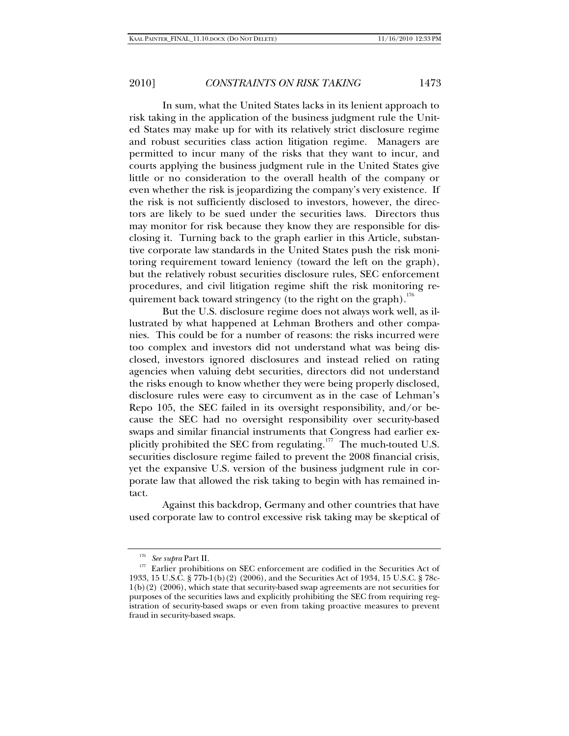In sum, what the United States lacks in its lenient approach to risk taking in the application of the business judgment rule the United States may make up for with its relatively strict disclosure regime and robust securities class action litigation regime. Managers are permitted to incur many of the risks that they want to incur, and courts applying the business judgment rule in the United States give little or no consideration to the overall health of the company or even whether the risk is jeopardizing the company's very existence. If the risk is not sufficiently disclosed to investors, however, the directors are likely to be sued under the securities laws. Directors thus may monitor for risk because they know they are responsible for disclosing it. Turning back to the graph earlier in this Article, substantive corporate law standards in the United States push the risk monitoring requirement toward leniency (toward the left on the graph), but the relatively robust securities disclosure rules, SEC enforcement procedures, and civil litigation regime shift the risk monitoring requirement back toward stringency (to the right on the graph).<sup>176</sup>

But the U.S. disclosure regime does not always work well, as illustrated by what happened at Lehman Brothers and other companies. This could be for a number of reasons: the risks incurred were too complex and investors did not understand what was being disclosed, investors ignored disclosures and instead relied on rating agencies when valuing debt securities, directors did not understand the risks enough to know whether they were being properly disclosed, disclosure rules were easy to circumvent as in the case of Lehman's Repo 105, the SEC failed in its oversight responsibility, and/or because the SEC had no oversight responsibility over security-based swaps and similar financial instruments that Congress had earlier explicitly prohibited the SEC from regulating.<sup>177</sup> The much-touted U.S. securities disclosure regime failed to prevent the 2008 financial crisis, yet the expansive U.S. version of the business judgment rule in corporate law that allowed the risk taking to begin with has remained intact.

Against this backdrop, Germany and other countries that have used corporate law to control excessive risk taking may be skeptical of

 $^{176}$  See supra Part II.  $^{177}$  Earlier prohibitions on SEC enforcement are codified in the Securities Act of 1933, 15 U.S.C. § 77b-1(b)(2) (2006), and the Securities Act of 1934, 15 U.S.C. § 78c-1(b)(2) (2006), which state that security-based swap agreements are not securities for purposes of the securities laws and explicitly prohibiting the SEC from requiring registration of security-based swaps or even from taking proactive measures to prevent fraud in security-based swaps.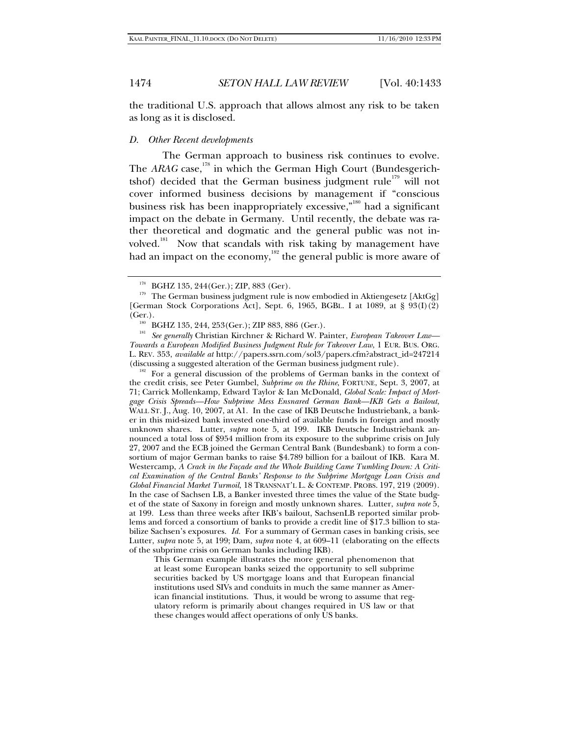the traditional U.S. approach that allows almost any risk to be taken as long as it is disclosed.

#### *D. Other Recent developments*

The German approach to business risk continues to evolve. The *ARAG* case,<sup>178</sup> in which the German High Court (Bundesgerichtshof) decided that the German business judgment rule<sup>179</sup> will not cover informed business decisions by management if "conscious business risk has been inappropriately excessive,"<sup>180</sup> had a significant impact on the debate in Germany. Until recently, the debate was rather theoretical and dogmatic and the general public was not involved.<sup>181</sup> Now that scandals with risk taking by management have had an impact on the economy,<sup>182</sup> the general public is more aware of

(Ger.). 180 BGHZ 135, 244, 253(Ger.); ZIP 883, 886 (Ger.). 181 *See generally* Christian Kirchner & Richard W. Painter, *European Takeover Law— Towards a European Modified Business Judgment Rule for Takeover Law*, 1 EUR. BUS. ORG. L. REV. 353, *available at* http://papers.ssrn.com/sol3/papers.cfm?abstract\_id=247214

 $182$  For a general discussion of the problems of German banks in the context of the credit crisis, see Peter Gumbel, *Subprime on the Rhine*, FORTUNE, Sept. 3, 2007, at 71; Carrick Mollenkamp, Edward Taylor & Ian McDonald, *Global Scale: Impact of Mortgage Crisis Spreads—How Subprime Mess Ensnared German Bank—IKB Gets a Bailout*, WALL ST. J., Aug. 10, 2007, at A1. In the case of IKB Deutsche Industriebank, a banker in this mid-sized bank invested one-third of available funds in foreign and mostly unknown shares. Lutter, *supra* note 5, at 199. IKB Deutsche Industriebank announced a total loss of \$954 million from its exposure to the subprime crisis on July 27, 2007 and the ECB joined the German Central Bank (Bundesbank) to form a consortium of major German banks to raise \$4.789 billion for a bailout of IKB. Kara M. Westercamp, *A Crack in the Façade and the Whole Building Came Tumbling Down: A Critical Examination of the Central Banks' Response to the Subprime Mortgage Loan Crisis and Global Financial Market Turmoil*, 18 TRANSNAT'L L. & CONTEMP. PROBS. 197, 219 (2009). In the case of Sachsen LB, a Banker invested three times the value of the State budget of the state of Saxony in foreign and mostly unknown shares. Lutter, *supra note* 5, at 199. Less than three weeks after IKB's bailout, SachsenLB reported similar problems and forced a consortium of banks to provide a credit line of \$17.3 billion to stabilize Sachsen's exposures. *Id.* For a summary of German cases in banking crisis, see Lutter, *supra* note 5, at 199; Dam, *supra* note 4, at 609–11 (elaborating on the effects of the subprime crisis on German banks including IKB).

This German example illustrates the more general phenomenon that at least some European banks seized the opportunity to sell subprime securities backed by US mortgage loans and that European financial institutions used SIVs and conduits in much the same manner as American financial institutions. Thus, it would be wrong to assume that regulatory reform is primarily about changes required in US law or that these changes would affect operations of only US banks.

BGHZ 135, 244(Ger.); ZIP, 883 (Ger). 179 The German business judgment rule is now embodied in Aktiengesetz [AktGg] [German Stock Corporations Act], Sept. 6, 1965, BGBL. I at 1089, at § 93(I)(2)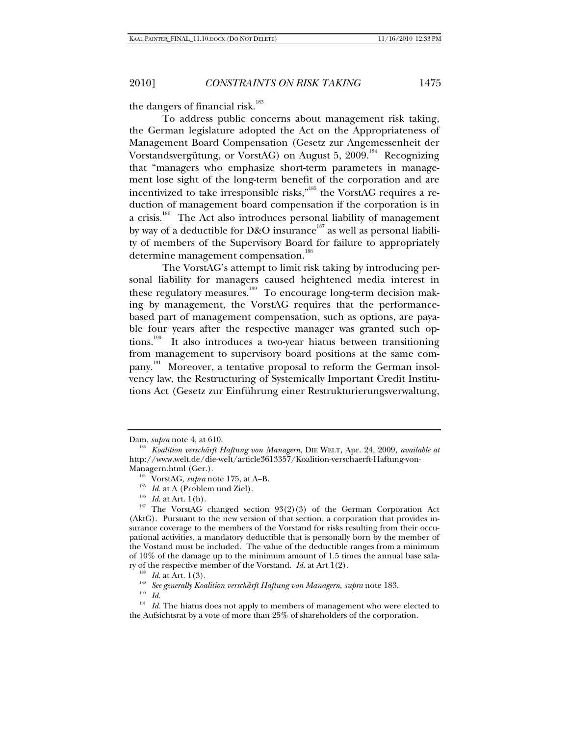the dangers of financial risk.<sup>183</sup>

To address public concerns about management risk taking, the German legislature adopted the Act on the Appropriateness of Management Board Compensation (Gesetz zur Angemessenheit der Vorstandsvergütung, or VorstAG) on August 5,  $2009$ <sup>184</sup> Recognizing that "managers who emphasize short-term parameters in management lose sight of the long-term benefit of the corporation and are incentivized to take irresponsible risks,"<sup>185</sup> the VorstAG requires a reduction of management board compensation if the corporation is in a crisis.<sup>186</sup> The Act also introduces personal liability of management by way of a deductible for D&O insurance<sup>187</sup> as well as personal liability of members of the Supervisory Board for failure to appropriately determine management compensation.<sup>188</sup>

The VorstAG's attempt to limit risk taking by introducing personal liability for managers caused heightened media interest in these regulatory measures.<sup>189</sup> To encourage long-term decision making by management, the VorstAG requires that the performancebased part of management compensation, such as options, are payable four years after the respective manager was granted such options.<sup>190</sup> It also introduces a two-year hiatus between transitioning from management to supervisory board positions at the same company.<sup>191</sup> Moreover, a tentative proposal to reform the German insolvency law, the Restructuring of Systemically Important Credit Institutions Act (Gesetz zur Einführung einer Restrukturierungsverwaltung,

Dam, *supra* note 4, at 610. 183 *Koalition verschärft Haftung von Managern*, DIE WELT, Apr. 24, 2009, *available at* http://www.welt.de/die-welt/article3613357/Koalition-verschaerft-Haftung-von-

<sup>&</sup>lt;sup>184</sup> VorstAG, *supra* note 175, at A–B.<br><sup>185</sup> *Id.* at A (Problem und Ziel). 186<sup> Id.</sup> at Art. 1(b). 187 The VorstAG changed section 93(2)(3) of the German Corporation Act (AktG). Pursuant to the new version of that section, a corporation that provides insurance coverage to the members of the Vorstand for risks resulting from their occupational activities, a mandatory deductible that is personally born by the member of the Vostand must be included. The value of the deductible ranges from a minimum of 10% of the damage up to the minimum amount of 1.5 times the annual base sala-

ry of the respective member of the Vorstand. *Id.* at Art 1(2). 188 *Id*. at Art. 1(3). 189 *See generally Koalition verschärft Haftung von Managern*, *supra* note 183.

*Id.* 

<sup>&</sup>lt;sup>191</sup> Id. The hiatus does not apply to members of management who were elected to the Aufsichtsrat by a vote of more than 25% of shareholders of the corporation.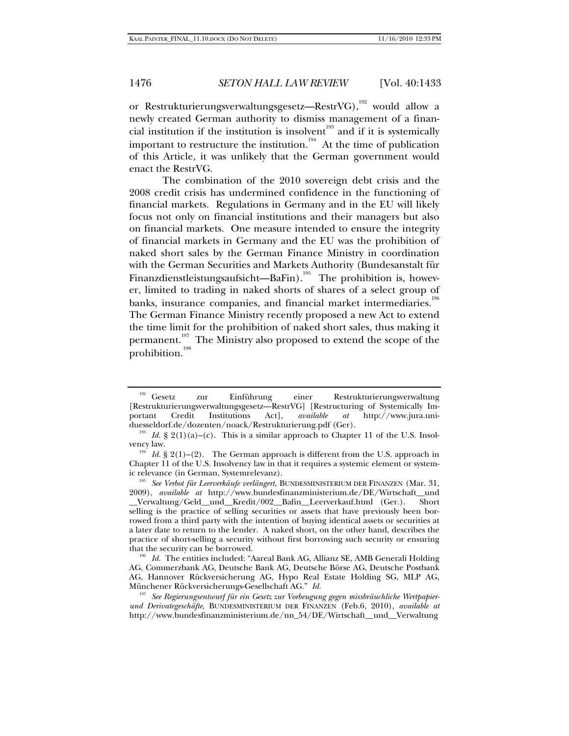or Restrukturierungsverwaltungsgesetz—RestrVG),<sup>192</sup> would allow a newly created German authority to dismiss management of a financial institution if the institution is insolvent<sup>193</sup> and if it is systemically important to restructure the institution.<sup>194</sup> At the time of publication of this Article, it was unlikely that the German government would enact the RestrVG.

The combination of the 2010 sovereign debt crisis and the 2008 credit crisis has undermined confidence in the functioning of financial markets. Regulations in Germany and in the EU will likely focus not only on financial institutions and their managers but also on financial markets. One measure intended to ensure the integrity of financial markets in Germany and the EU was the prohibition of naked short sales by the German Finance Ministry in coordination with the German Securities and Markets Authority (Bundesanstalt für Finanzdienstleistungsaufsicht—BaFin).<sup>195</sup> The prohibition is, however, limited to trading in naked shorts of shares of a select group of banks, insurance companies, and financial market intermediaries. $^{196}$ The German Finance Ministry recently proposed a new Act to extend the time limit for the prohibition of naked short sales, thus making it permanent.<sup>197</sup> The Ministry also proposed to extend the scope of the prohibition.<sup>198</sup>

<sup>&</sup>lt;sup>192</sup> Gesetz zur Einführung einer Restrukturierungsverwaltung [Restrukturierungsverwaltungsgesetz—RestrVG] [Restructuring of Systemically Im-<br>portant Credit Institutions Act], *available at* http://www.iura.uniportant Credit Institutions Act], *available at* http://www.jura.uni-

<sup>&</sup>lt;sup>193</sup> Id. § 2(1)(a)–(c). This is a similar approach to Chapter 11 of the U.S. Insolvency law.

<sup>&</sup>lt;sup>194</sup> Id. § 2(1)–(2). The German approach is different from the U.S. approach in Chapter 11 of the U.S. Insolvency law in that it requires a systemic element or systemic relevance (in German, Systemrelevanz). 195 *See Verbot für Leerverkäufe verlängert*, BUNDESMINISTERIUM DER FINANZEN (Mar. 31,

<sup>2009),</sup> *available at* http://www.bundesfinanzministerium.de/DE/Wirtschaft\_\_und \_\_Verwaltung/Geld\_\_und\_\_Kredit/002\_\_Bafin\_\_Leerverkauf.html (Ger.). Short selling is the practice of selling securities or assets that have previously been borrowed from a third party with the intention of buying identical assets or securities at a later date to return to the lender. A naked short, on the other hand, describes the practice of short-selling a security without first borrowing such security or ensuring that the security can be borrowed. 196 *Id.* The entities included: "Aareal Bank AG, Allianz SE, AMB Generali Holding

AG, Commerzbank AG, Deutsche Bank AG, Deutsche Börse AG, Deutsche Postbank AG, Hannover Rückversicherung AG, Hypo Real Estate Holding SG, MLP AG, Münchener Rückversicherungs-Gesellschaft AG." *Id.*

<sup>197</sup> *See Regierungsentwurf für ein Gesetz zur Vorbeugung gegen missbräuchliche Wertpapierund Derivategeschäfte*, BUNDESMINISTERIUM DER FINANZEN (Feb.6, 2010), *available at* http://www.bundesfinanzministerium.de/nn\_54/DE/Wirtschaft\_\_und\_\_Verwaltung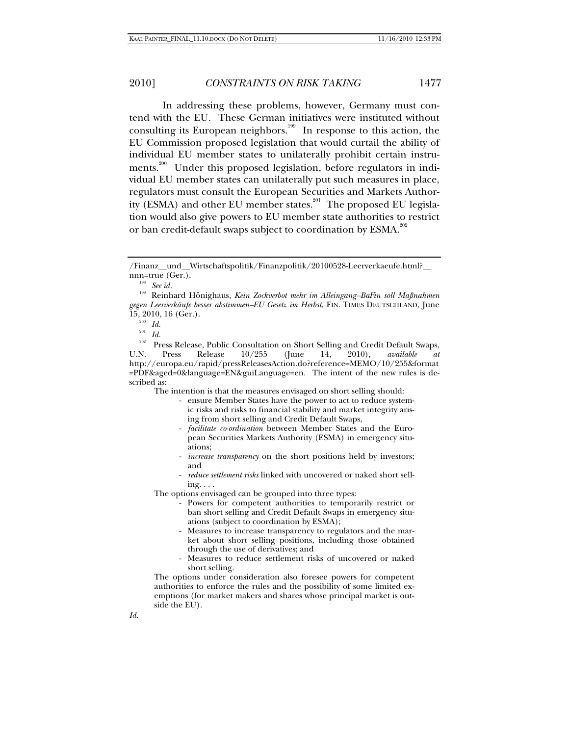In addressing these problems, however, Germany must contend with the EU. These German initiatives were instituted without consulting its European neighbors.<sup>199</sup> In response to this action, the EU Commission proposed legislation that would curtail the ability of individual EU member states to unilaterally prohibit certain instruments.<sup>200</sup> Under this proposed legislation, before regulators in individual EU member states can unilaterally put such measures in place, regulators must consult the European Securities and Markets Authority (ESMA) and other EU member states.<sup>201</sup> The proposed EU legislation would also give powers to EU member state authorities to restrict or ban credit-default swaps subject to coordination by ESMA.<sup>202</sup>

The intention is that the measures envisaged on short selling should:

- ensure Member States have the power to act to reduce systemic risks and risks to financial stability and market integrity arising from short selling and Credit Default Swaps,
- *facilitate co-ordination* between Member States and the European Securities Markets Authority (ESMA) in emergency situations;
- *increase transparency* on the short positions held by investors; and
- *reduce settlement risks* linked with uncovered or naked short selling. . . .

The options envisaged can be grouped into three types:

- Powers for competent authorities to temporarily restrict or ban short selling and Credit Default Swaps in emergency situations (subject to coordination by ESMA);
- Measures to increase transparency to regulators and the market about short selling positions, including those obtained through the use of derivatives; and
- Measures to reduce settlement risks of uncovered or naked short selling.

The options under consideration also foresee powers for competent authorities to enforce the rules and the possibility of some limited exemptions (for market makers and shares whose principal market is outside the EU).

<sup>/</sup>Finanz\_\_und\_\_Wirtschaftspolitik/Finanzpolitik/20100528-Leerverkaeufe.html?\_\_ nnn=true (Ger.). 198 *See id.*

<sup>199</sup> Reinhard Hönighaus, *Kein Zockverbot mehr im Alleingang–BaFin soll Maßnahmen gegen Leerverkäufe besser abstimmen–EU Gesetz im Herbst*, FIN. TIMES DEUTSCHLAND, June

<sup>15, 2010, 16 (</sup>Ger.).<br><sup>200</sup> *Id.*<br><sup>201</sup> *Id.*<br>Press Release, Public Consultation on Short Selling and Credit Default Swaps,<br>U.N. Press Release 10/255 (June 14, 2010), *available at* U.N. Press Release 10/255 (June 14, 2010), *available at*  http://europa.eu/rapid/pressReleasesAction.do?reference=MEMO/10/255&format =PDF&aged=0&language=EN&guiLanguage=en. The intent of the new rules is described as: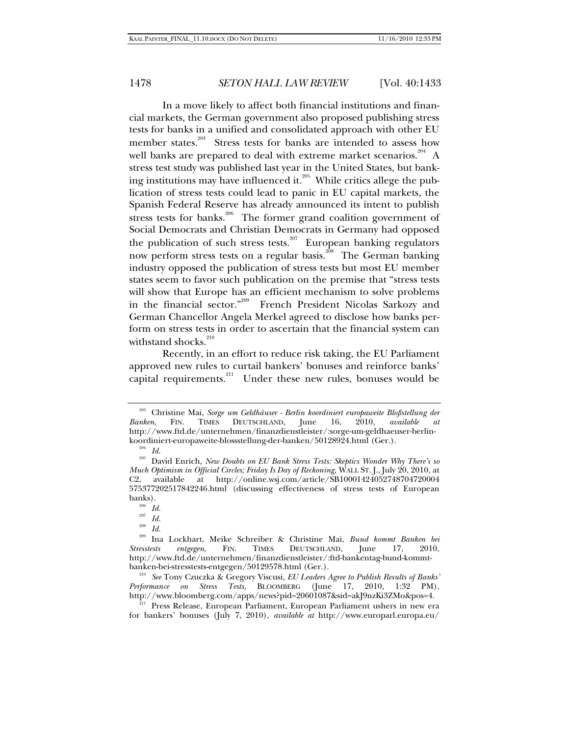In a move likely to affect both financial institutions and financial markets, the German government also proposed publishing stress tests for banks in a unified and consolidated approach with other EU member states.<sup>203</sup> Stress tests for banks are intended to assess how well banks are prepared to deal with extreme market scenarios.<sup>204</sup> A stress test study was published last year in the United States, but banking institutions may have influenced it.<sup>205</sup> While critics allege the publication of stress tests could lead to panic in EU capital markets, the Spanish Federal Reserve has already announced its intent to publish stress tests for banks.<sup>206</sup> The former grand coalition government of Social Democrats and Christian Democrats in Germany had opposed the publication of such stress tests.<sup>207</sup> European banking regulators now perform stress tests on a regular basis.<sup>208</sup> The German banking industry opposed the publication of stress tests but most EU member states seem to favor such publication on the premise that "stress tests will show that Europe has an efficient mechanism to solve problems in the financial sector."209 French President Nicolas Sarkozy and German Chancellor Angela Merkel agreed to disclose how banks perform on stress tests in order to ascertain that the financial system can withstand shocks.<sup>2</sup>

Recently, in an effort to reduce risk taking, the EU Parliament approved new rules to curtail bankers' bonuses and reinforce banks' capital requirements.<sup>211</sup> Under these new rules, bonuses would be

<sup>203</sup> Christine Mai, *Sorge um Geldhäuser - Berlin koordiniert europaweite Bloßstellung der Banken*, FIN. TIMES DEUTSCHLAND, June 16, 2010, *available at* http://www.ftd.de/unternehmen/finanzdienstleister/:sorge-um-geldhaeuser-berlin-

koordiniert-europaweite-blossstellung-der-banken/50128924.html (Ger.).<br><sup>204</sup> Id. 205 David Enrich, *New Doubts on EU Bank Stress Tests: Skeptics Wonder Why There's so Much Optimism in Official Circles; Friday Is Day of Reckoning,* WALL ST. J., July 20, 2010, at C2, available at http://online.wsj.com/article/SB10001424052748704720004 575377202517842246.html (discussing effectiveness of stress tests of European

banks). 206 *Id.* 207 *Id.* 208 *Id.* 209 Ina Lockhart, Meike Schreiber & Christine Mai, *Bund kommt Banken bei Stresstests entgegen*, FIN. TIMES DEUTSCHLAND, June 17, 2010, http://www.ftd.de/unternehmen/finanzdienstleister/:ftd-bankentag-bund-kommtbanken-bei-stresstests-entgegen/50129578.html (Ger.).

<sup>210</sup> *See* Tony Czuczka & Gregory Viscusi, *EU Leaders Agree to Publish Results of Banks' Performance on Stress Tests*, BLOOMBERG (June 17, 2010, 1:32 PM), http://www.bloomberg.com/apps/news?pid=20601087&sid=akJ9nzKi3ZMo&pos=4.

<sup>211</sup> Press Release, European Parliament, European Parliament ushers in new era for bankers' bonuses (July 7, 2010), *available at* http://www.europarl.europa.eu/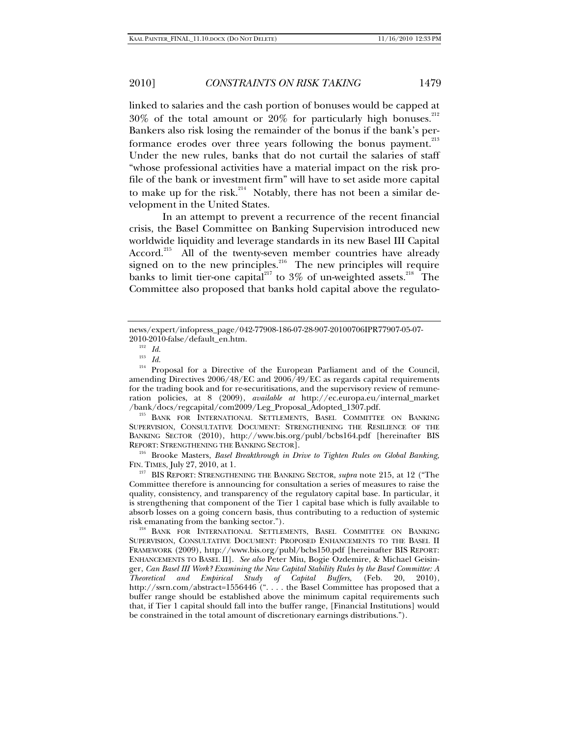linked to salaries and the cash portion of bonuses would be capped at  $30\%$  of the total amount or  $20\%$  for particularly high bonuses.<sup>212</sup> Bankers also risk losing the remainder of the bonus if the bank's performance erodes over three years following the bonus payment.<sup>213</sup> Under the new rules, banks that do not curtail the salaries of staff "whose professional activities have a material impact on the risk profile of the bank or investment firm" will have to set aside more capital to make up for the risk.<sup>214</sup> Notably, there has not been a similar development in the United States.

In an attempt to prevent a recurrence of the recent financial crisis, the Basel Committee on Banking Supervision introduced new worldwide liquidity and leverage standards in its new Basel III Capital Accord.<sup>215</sup> All of the twenty-seven member countries have already signed on to the new principles.<sup>216</sup> The new principles will require banks to limit tier-one capital<sup>217</sup> to 3% of un-weighted assets.<sup>218</sup> The Committee also proposed that banks hold capital above the regulato-

<sup>214</sup> Proposal for a Directive of the European Parliament and of the Council, amending Directives 2006/48/EC and 2006/49/EC as regards capital requirements for the trading book and for re-securitisations, and the supervisory review of remuneration policies, at 8 (2009), *available at* http://ec.europa.eu/internal\_market

<sup>215</sup> BANK FOR INTERNATIONAL SETTLEMENTS, BASEL COMMITTEE ON BANKING SUPERVISION, CONSULTATIVE DOCUMENT: STRENGTHENING THE RESILIENCE OF THE BANKING SECTOR (2010), http://www.bis.org/publ/bcbs164.pdf [hereinafter BIS

REPORT: STRENGTHENING THE BANKING SECTOR].<br><sup>216</sup> Brooke Masters, *Basel Breakthrough in Drive to Tighten Rules on Global Banking*,<br>FIN. TIMES, July 27, 2010, at 1.

<sup>217</sup> BIS REPORT: STRENGTHENING THE BANKING SECTOR, *supra* note 215, at 12 ("The Committee therefore is announcing for consultation a series of measures to raise the quality, consistency, and transparency of the regulatory capital base. In particular, it is strengthening that component of the Tier 1 capital base which is fully available to absorb losses on a going concern basis, thus contributing to a reduction of systemic risk emanating from the banking sector."). 218 BANK FOR INTERNATIONAL SETTLEMENTS, BASEL COMMITTEE ON BANKING

news/expert/infopress\_page/042-77908-186-07-28-907-20100706IPR77907-05-07- 2010-2010-false/default\_en.htm. 212 *Id.* 

<sup>213</sup> *Id.*

SUPERVISION, CONSULTATIVE DOCUMENT: PROPOSED ENHANCEMENTS TO THE BASEL II FRAMEWORK (2009), http://www.bis.org/publ/bcbs150.pdf [hereinafter BIS REPORT: ENHANCEMENTS TO BASEL II]. *See also* Peter Miu, Bogie Ozdemire, & Michael Geisinger, *Can Basel III Work? Examining the New Capital Stability Rules by the Basel Committee: A Theoretical and Empirical Study of Capital Buffers,* (Feb. 20, 2010), http://ssrn.com/abstract=1556446 (". . . . the Basel Committee has proposed that a buffer range should be established above the minimum capital requirements such that, if Tier 1 capital should fall into the buffer range, [Financial Institutions] would be constrained in the total amount of discretionary earnings distributions.").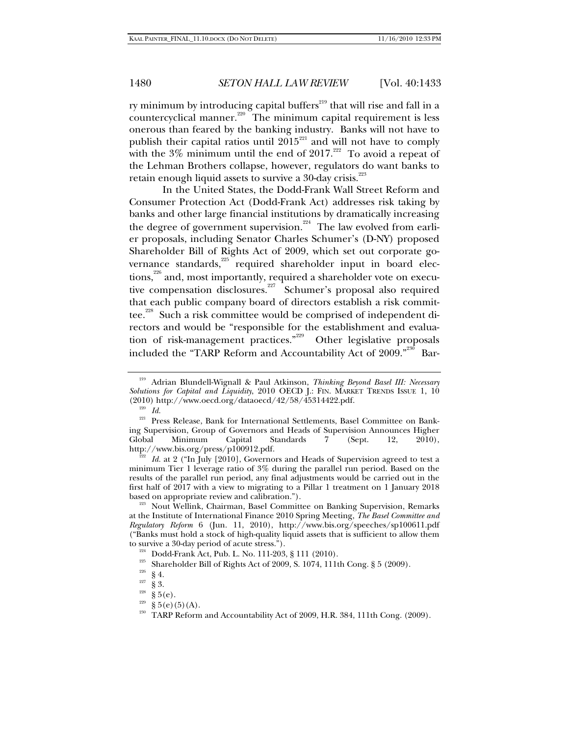ry minimum by introducing capital buffers $^{219}$  that will rise and fall in a countercyclical manner.<sup>220</sup> The minimum capital requirement is less onerous than feared by the banking industry. Banks will not have to publish their capital ratios until  $2015<sup>221</sup>$  and will not have to comply with the  $3\%$  minimum until the end of  $2017.^{222}$  To avoid a repeat of the Lehman Brothers collapse, however, regulators do want banks to retain enough liquid assets to survive a 30-day crisis.<sup>223</sup>

In the United States, the Dodd-Frank Wall Street Reform and Consumer Protection Act (Dodd-Frank Act) addresses risk taking by banks and other large financial institutions by dramatically increasing the degree of government supervision.<sup>224</sup> The law evolved from earlier proposals, including Senator Charles Schumer's (D-NY) proposed Shareholder Bill of Rights Act of 2009, which set out corporate governance standards,<sup>225</sup> required shareholder input in board elections,<sup>226</sup> and, most importantly, required a shareholder vote on executive compensation disclosures.<sup>227</sup> Schumer's proposal also required that each public company board of directors establish a risk committee.<sup>228</sup> Such a risk committee would be comprised of independent directors and would be "responsible for the establishment and evaluation of risk-management practices."229 Other legislative proposals included the "TARP Reform and Accountability Act of  $2009$ ."<sup>230</sup> Bar-

<sup>222</sup> Id. at 2 ("In July [2010], Governors and Heads of Supervision agreed to test a minimum Tier 1 leverage ratio of 3% during the parallel run period. Based on the results of the parallel run period, any final adjustments would be carried out in the first half of 2017 with a view to migrating to a Pillar 1 treatment on 1 January 2018 based on appropriate review and calibration.").

<sup>223</sup> Nout Wellink, Chairman, Basel Committee on Banking Supervision, Remarks at the Institute of International Finance 2010 Spring Meeting, *The Basel Committee and Regulatory Reform* 6 (Jun. 11, 2010), http://www.bis.org/speeches/sp100611.pdf ("Banks must hold a stock of high-quality liquid assets that is sufficient to allow them to survive a 30-day period of acute stress.").<br>
<sup>224</sup> Dodd-Frank Act, Pub. L. No. 111-203, § 111 (2010).<br>
<sup>225</sup> Shareholder Bill of Rights Act of 2009, S. 1074, 111th Cong. § 5 (2009).<br>
<sup>226</sup> § 4.<br>
<sup>227</sup> § 5.<br>
§ 5.<br>
(e).<br>

<sup>219</sup> Adrian Blundell-Wignall & Paul Atkinson, *Thinking Beyond Basel III: Necessary Solutions for Capital and Liquidity*, 2010 OECD J.: FIN. MARKET TRENDS ISSUE 1, 10 (2010) http://www.oecd.org/dataoecd/42/58/45314422.pdf.  $\frac{220}{10}$  *Id.* 

<sup>&</sup>lt;sup>221</sup> Press Release, Bank for International Settlements, Basel Committee on Banking Supervision, Group of Governors and Heads of Supervision Announces Higher Global Minimum Capital Standards 7 (Sept. 12, 2010), http://www.bis.org/press/p100912.pdf.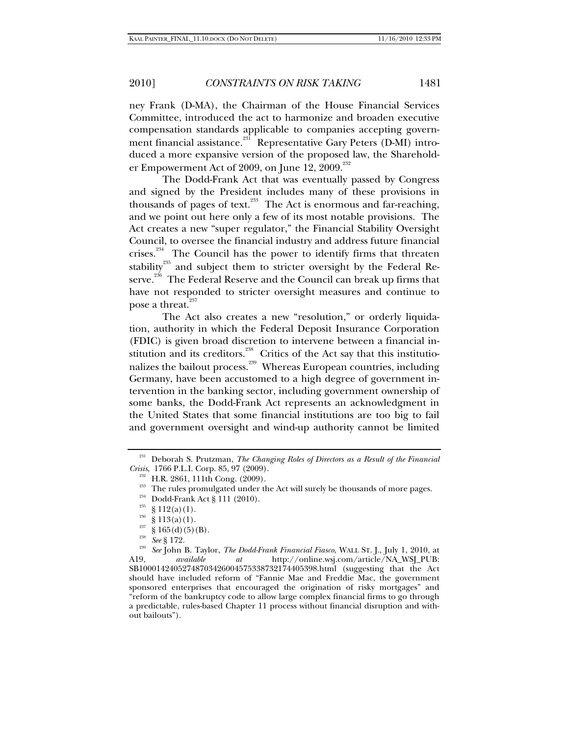ney Frank (D-MA), the Chairman of the House Financial Services Committee, introduced the act to harmonize and broaden executive compensation standards applicable to companies accepting government financial assistance.<sup>231</sup> Representative Gary Peters (D-MI) introduced a more expansive version of the proposed law, the Shareholder Empowerment Act of 2009, on June 12, 2009. $^{232}$ 

The Dodd-Frank Act that was eventually passed by Congress and signed by the President includes many of these provisions in thousands of pages of text. $^{233}$  The Act is enormous and far-reaching, and we point out here only a few of its most notable provisions. The Act creates a new "super regulator," the Financial Stability Oversight Council, to oversee the financial industry and address future financial crises.<sup>234</sup> The Council has the power to identify firms that threaten stability $^{^{235}}$  and subject them to stricter oversight by the Federal Reserve.<sup>236</sup> The Federal Reserve and the Council can break up firms that have not responded to stricter oversight measures and continue to pose a threat.<sup>2</sup>

The Act also creates a new "resolution," or orderly liquidation, authority in which the Federal Deposit Insurance Corporation (FDIC) is given broad discretion to intervene between a financial institution and its creditors.<sup>238</sup> Critics of the Act say that this institutionalizes the bailout process.239 Whereas European countries, including Germany, have been accustomed to a high degree of government intervention in the banking sector, including government ownership of some banks, the Dodd-Frank Act represents an acknowledgment in the United States that some financial institutions are too big to fail and government oversight and wind-up authority cannot be limited

<sup>&</sup>lt;sup>231</sup> Deborah S. Prutzman, *The Changing Roles of Directors as a Result of the Financial Crisis*, 1766 P.L.I. Corp. 85, 97 (2009).

<sup>&</sup>lt;sup>232</sup> H.R. 2861, 111th Cong. (2009).<br><sup>233</sup> The rules promulgated under the Act will surely be thousands of more pages.<br><sup>234</sup> Dodd-Frank Act § 111 (2010).<br><sup>235</sup> § 112(a)(1).<br><sup>235</sup> § 113(a)(1).<br><sup>235</sup> § 165(d)(5)(B).<br><sup>238</sup> S

A19, *available at* http://online.wsj.com/article/NA\_WSJ\_PUB: SB10001424052748703426004575338732174405398.html (suggesting that the Act should have included reform of "Fannie Mae and Freddie Mac, the government sponsored enterprises that encouraged the origination of risky mortgages" and "reform of the bankruptcy code to allow large complex financial firms to go through a predictable, rules-based Chapter 11 process without financial disruption and without bailouts").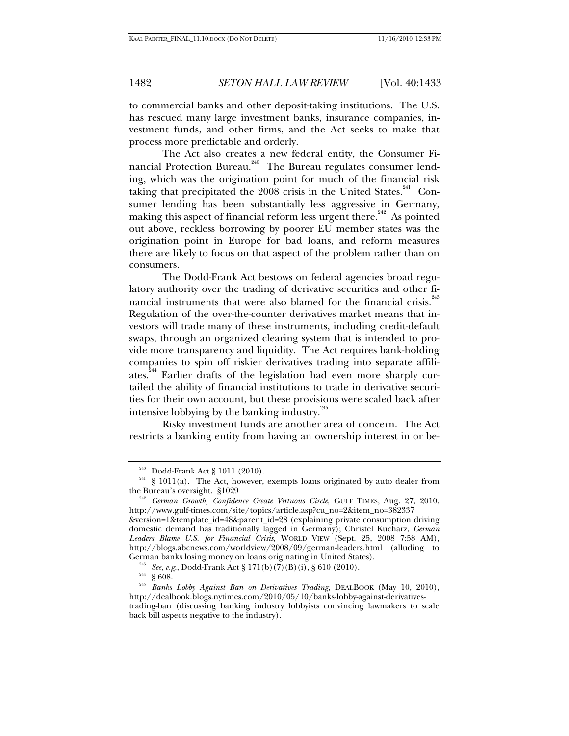to commercial banks and other deposit-taking institutions. The U.S. has rescued many large investment banks, insurance companies, investment funds, and other firms, and the Act seeks to make that process more predictable and orderly.

The Act also creates a new federal entity, the Consumer Financial Protection Bureau.<sup>240</sup> The Bureau regulates consumer lending, which was the origination point for much of the financial risk taking that precipitated the 2008 crisis in the United States.<sup>241</sup> Consumer lending has been substantially less aggressive in Germany, making this aspect of financial reform less urgent there.<sup>242</sup> As pointed out above, reckless borrowing by poorer EU member states was the origination point in Europe for bad loans, and reform measures there are likely to focus on that aspect of the problem rather than on consumers.

The Dodd-Frank Act bestows on federal agencies broad regulatory authority over the trading of derivative securities and other financial instruments that were also blamed for the financial crisis.<sup>243</sup> Regulation of the over-the-counter derivatives market means that investors will trade many of these instruments, including credit-default swaps, through an organized clearing system that is intended to provide more transparency and liquidity. The Act requires bank-holding companies to spin off riskier derivatives trading into separate affiliates.<sup>244</sup> Earlier drafts of the legislation had even more sharply curtailed the ability of financial institutions to trade in derivative securities for their own account, but these provisions were scaled back after intensive lobbying by the banking industry. $^{245}$ 

Risky investment funds are another area of concern. The Act restricts a banking entity from having an ownership interest in or be-

<sup>&</sup>lt;sup>240</sup> Dodd-Frank Act § 1011 (2010).<br><sup>241</sup> § 1011(a). The Act, however, exempts loans originated by auto dealer from<br>the Bureau's oversight. §1029

<sup>&</sup>lt;sup>242</sup> German Growth, Confidence Create Virtuous Circle, GULF TIMES, Aug. 27, 2010, http://www.gulf-times.com/site/topics/article.asp?cu\_no=2&item\_no=382337 &version=1&template\_id=48&parent\_id=28 (explaining private consumption driving domestic demand has traditionally lagged in Germany); Christel Kucharz, *German* 

*Leaders Blame U.S. for Financial Crisis*, WORLD VIEW (Sept. 25, 2008 7:58 AM), http://blogs.abcnews.com/worldview/2008/09/german-leaders.html (alluding to

<sup>&</sup>lt;sup>243</sup> See, e.g., Dodd-Frank Act § 171(b)(7)(B)(i), § 610 (2010).<br><sup>244</sup> § 608.<br>*<sup>245</sup> Banks Lobby Against Ban on Derivatives Trading*, DEALBOOK (May 10, 2010), http://dealbook.blogs.nytimes.com/2010/05/10/banks-lobby-against-derivativestrading-ban (discussing banking industry lobbyists convincing lawmakers to scale back bill aspects negative to the industry).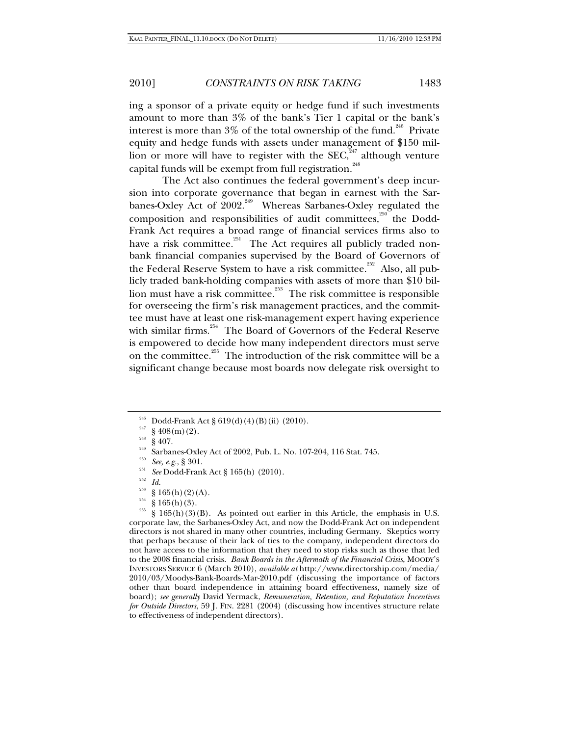ing a sponsor of a private equity or hedge fund if such investments amount to more than 3% of the bank's Tier 1 capital or the bank's interest is more than  $3\%$  of the total ownership of the fund.<sup>246</sup> Private equity and hedge funds with assets under management of \$150 million or more will have to register with the  $SEC, 247$  although venture capital funds will be exempt from full registration.

The Act also continues the federal government's deep incursion into corporate governance that began in earnest with the Sarbanes-Oxley Act of  $2002<sup>249</sup>$  Whereas Sarbanes-Oxley regulated the composition and responsibilities of audit committees,<sup>250</sup> the Dodd-Frank Act requires a broad range of financial services firms also to have a risk committee. $^{251}$  The Act requires all publicly traded nonbank financial companies supervised by the Board of Governors of the Federal Reserve System to have a risk committee.<sup>252</sup> Also, all publicly traded bank-holding companies with assets of more than \$10 billion must have a risk committee.<sup>253</sup> The risk committee is responsible for overseeing the firm's risk management practices, and the committee must have at least one risk-management expert having experience with similar firms.<sup>254</sup> The Board of Governors of the Federal Reserve is empowered to decide how many independent directors must serve on the committee.<sup>255</sup> The introduction of the risk committee will be a significant change because most boards now delegate risk oversight to

<sup>&</sup>lt;sup>240</sup> Dodd-Frank Act § 619(d)(4)(B)(ii) (2010).<br>
<sup>247</sup> § 408(m)(2).<br>
<sup>248</sup> § 407.<br>
<sup>248</sup> § 407.<br>
<sup>248</sup> § 407.<br>
<sup>248</sup> § 407.<br> *Sarbanes-Oxley Act of 2002, Pub. L. No. 107-204, 116 Stat. 745.<br>
<sup>250</sup> <i>See, e.g.*, § 301.<br> *Se* 

<sup>&</sup>lt;sup>253</sup> § 165(h)(2)(A).<br><sup>254</sup> § 165(h)(3).<br><sup>255</sup> § 165(h)(3)(B). As pointed out earlier in this Article, the emphasis in U.S. corporate law, the Sarbanes-Oxley Act, and now the Dodd-Frank Act on independent directors is not shared in many other countries, including Germany. Skeptics worry that perhaps because of their lack of ties to the company, independent directors do not have access to the information that they need to stop risks such as those that led to the 2008 financial crisis. *Bank Boards in the Aftermath of the Financial Crisis*, MOODY'S INVESTORS SERVICE 6 (March 2010), *available at* http://www.directorship.com/media/ 2010/03/Moodys-Bank-Boards-Mar-2010.pdf (discussing the importance of factors other than board independence in attaining board effectiveness, namely size of board); *see generally* David Yermack, *Remuneration, Retention, and Reputation Incentives for Outside Directors*, 59 J. FIN. 2281 (2004) (discussing how incentives structure relate to effectiveness of independent directors).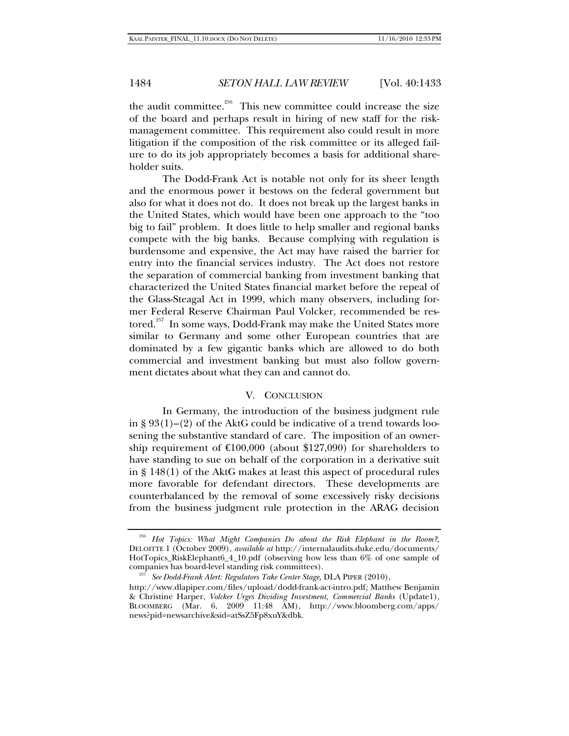the audit committee.<sup>256</sup> This new committee could increase the size of the board and perhaps result in hiring of new staff for the riskmanagement committee. This requirement also could result in more litigation if the composition of the risk committee or its alleged failure to do its job appropriately becomes a basis for additional shareholder suits.

The Dodd-Frank Act is notable not only for its sheer length and the enormous power it bestows on the federal government but also for what it does not do. It does not break up the largest banks in the United States, which would have been one approach to the "too big to fail" problem. It does little to help smaller and regional banks compete with the big banks. Because complying with regulation is burdensome and expensive, the Act may have raised the barrier for entry into the financial services industry. The Act does not restore the separation of commercial banking from investment banking that characterized the United States financial market before the repeal of the Glass-Steagal Act in 1999, which many observers, including former Federal Reserve Chairman Paul Volcker, recommended be restored.<sup>257</sup> In some ways, Dodd-Frank may make the United States more similar to Germany and some other European countries that are dominated by a few gigantic banks which are allowed to do both commercial and investment banking but must also follow government dictates about what they can and cannot do.

### V. CONCLUSION

In Germany, the introduction of the business judgment rule in §  $93(1)$ – $(2)$  of the AktG could be indicative of a trend towards loosening the substantive standard of care. The imposition of an ownership requirement of  $\text{E}100,000$  (about \$127,090) for shareholders to have standing to sue on behalf of the corporation in a derivative suit in § 148(1) of the AktG makes at least this aspect of procedural rules more favorable for defendant directors. These developments are counterbalanced by the removal of some excessively risky decisions from the business judgment rule protection in the ARAG decision

<sup>256</sup> *Hot Topics: What Might Companies Do about the Risk Elephant in the Room?,* DELOITTE 1 (October 2009), *available at* http://internalaudits.duke.edu/documents/ HotTopics\_RiskElephant6\_4\_10.pdf (observing how less than 6% of one sample of companies has board-level standing risk committees).

<sup>&</sup>lt;sup>257</sup> See Dodd-Frank Alert: Regulators Take Center Stage, DLA PIPER (2010),

http://www.dlapiper.com/files/upload/dodd-frank-act-intro.pdf*;* Matthew Benjamin & Christine Harper, *Volcker Urges Dividing Investment, Commercial Banks* (Update1), BLOOMBERG (Mar. 6, 2009 11:48 AM), http://www.bloomberg.com/apps/ news?pid=newsarchive&sid=atSsZ5Fp8xuY&dbk.